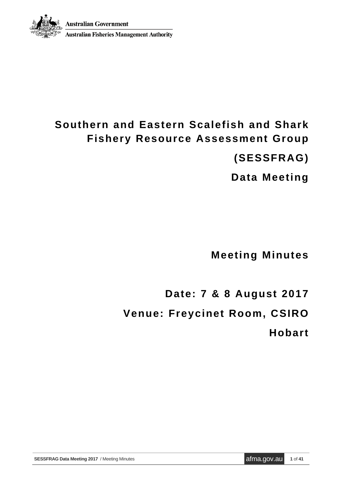

**Australian Fisheries Management Authority** 

# **Southern and Eastern Scalefish and Shark Fishery Resource Assessment Group**

**(SESSFRAG)**

**Data Meeting** 

**Meeting Minutes**

**Date: 7 & 8 August 2017 Venue: Freycinet Room, CSIRO Hobart**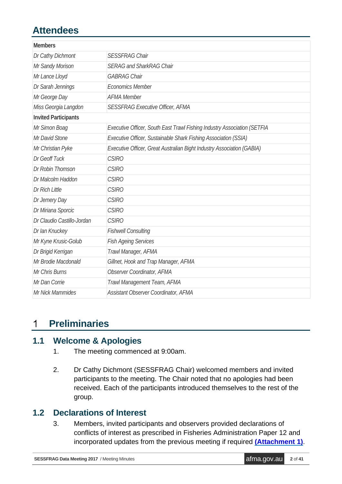# **Attendees**

| <b>Members</b>              |                                                                          |
|-----------------------------|--------------------------------------------------------------------------|
| Dr Cathy Dichmont           | <b>SESSFRAG Chair</b>                                                    |
| Mr Sandy Morison            | <b>SERAG and SharkRAG Chair</b>                                          |
| Mr Lance Lloyd              | <b>GABRAG Chair</b>                                                      |
| Dr Sarah Jennings           | <b>Economics Member</b>                                                  |
| Mr George Day               | <b>AFMA Member</b>                                                       |
| Miss Georgia Langdon        | <b>SESSFRAG Executive Officer, AFMA</b>                                  |
| <b>Invited Participants</b> |                                                                          |
| Mr Simon Boag               | Executive Officer, South East Trawl Fishing Industry Association (SETFIA |
| Mr David Stone              | Executive Officer, Sustainable Shark Fishing Association (SSIA)          |
| Mr Christian Pyke           | Executive Officer, Great Australian Bight Industry Association (GABIA)   |
| Dr Geoff Tuck               | <b>CSIRO</b>                                                             |
| Dr Robin Thomson            | <b>CSIRO</b>                                                             |
| Dr Malcolm Haddon           | <b>CSIRO</b>                                                             |
| Dr Rich Little              | <b>CSIRO</b>                                                             |
| Dr Jemery Day               | <b>CSIRO</b>                                                             |
| Dr Miriana Sporcic          | <b>CSIRO</b>                                                             |
| Dr Claudio Castillo-Jordan  | <b>CSIRO</b>                                                             |
| Dr Ian Knuckey              | <b>Fishwell Consulting</b>                                               |
| Mr Kyne Krusic-Golub        | <b>Fish Ageing Services</b>                                              |
| Dr Brigid Kerrigan          | Trawl Manager, AFMA                                                      |
| Mr Brodie Macdonald         | Gillnet, Hook and Trap Manager, AFMA                                     |
| Mr Chris Burns              | <b>Observer Coordinator, AFMA</b>                                        |
| Mr Dan Corrie               | Trawl Management Team, AFMA                                              |
| Mr Nick Mammides            | Assistant Observer Coordinator, AFMA                                     |

#### **Preliminaries**  $\mathbf{1}$

## **1.1 Welcome & Apologies**

- 1. The meeting commenced at 9:00am.
- 2. Dr Cathy Dichmont (SESSFRAG Chair) welcomed members and invited participants to the meeting. The Chair noted that no apologies had been received. Each of the participants introduced themselves to the rest of the group.

## **1.2 Declarations of Interest**

3. Members, invited participants and observers provided declarations of conflicts of interest as prescribed in Fisheries Administration Paper 12 and incorporated updates from the previous meeting if required **[\(Attachment](#page-24-0) 1)**.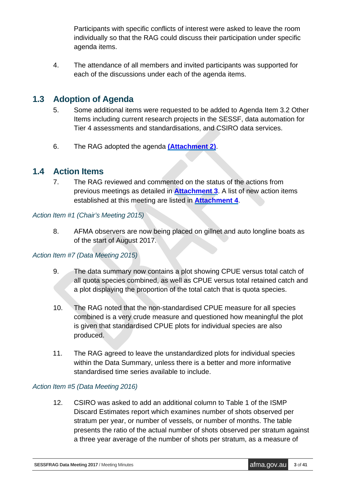Participants with specific conflicts of interest were asked to leave the room individually so that the RAG could discuss their participation under specific agenda items.

4. The attendance of all members and invited participants was supported for each of the discussions under each of the agenda items.

## **1.3 Adoption of Agenda**

- 5. Some additional items were requested to be added to Agenda Item 3.2 Other Items including current research projects in the SESSF, data automation for Tier 4 assessments and standardisations, and CSIRO data services.
- 6. The RAG adopted the agenda **[\(Attachment](#page-26-0) 2)**.

### **1.4 Action Items**

7. The RAG reviewed and commented on the status of the actions from previous meetings as detailed in **[Attachment](#page-28-0) 3**. A list of new action items established at this meeting are listed in **[Attachment](#page-37-0) 4**.

#### *Action Item #1 (Chair's Meeting 2015)*

8. AFMA observers are now being placed on gillnet and auto longline boats as of the start of August 2017.

#### *Action Item #7 (Data Meeting 2015)*

- 9. The data summary now contains a plot showing CPUE versus total catch of all quota species combined, as well as CPUE versus total retained catch and a plot displaying the proportion of the total catch that is quota species.
- 10. The RAG noted that the non-standardised CPUE measure for all species combined is a very crude measure and questioned how meaningful the plot is given that standardised CPUE plots for individual species are also produced.
- 11. The RAG agreed to leave the unstandardized plots for individual species within the Data Summary, unless there is a better and more informative standardised time series available to include.

#### *Action Item #5 (Data Meeting 2016)*

12. CSIRO was asked to add an additional column to Table 1 of the ISMP Discard Estimates report which examines number of shots observed per stratum per year, or number of vessels, or number of months. The table presents the ratio of the actual number of shots observed per stratum against a three year average of the number of shots per stratum, as a measure of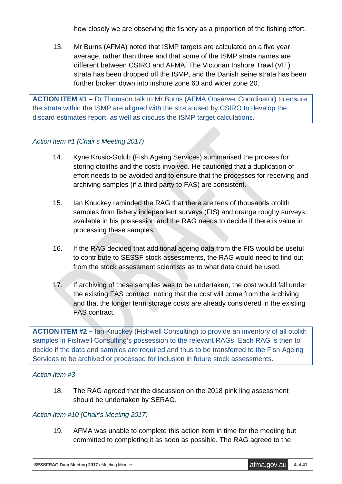how closely we are observing the fishery as a proportion of the fishing effort.

13. Mr Burns (AFMA) noted that ISMP targets are calculated on a five year average, rather than three and that some of the ISMP strata names are different between CSIRO and AFMA. The Victorian Inshore Trawl (VIT) strata has been dropped off the ISMP, and the Danish seine strata has been further broken down into inshore zone 60 and wider zone 20.

**ACTION ITEM #1 –** Dr Thomson talk to Mr Burns (AFMA Observer Coordinator) to ensure the strata within the ISMP are aligned with the strata used by CSIRO to develop the discard estimates report, as well as discuss the ISMP target calculations.

#### *Action Item #1 (Chair's Meeting 2017)*

- 14. Kyne Krusic-Golub (Fish Ageing Services) summarised the process for storing otoliths and the costs involved. He cautioned that a duplication of effort needs to be avoided and to ensure that the processes for receiving and archiving samples (if a third party to FAS) are consistent.
- 15. Ian Knuckey reminded the RAG that there are tens of thousands otolith samples from fishery independent surveys (FIS) and orange roughy surveys available in his possession and the RAG needs to decide if there is value in processing these samples.
- 16. If the RAG decided that additional ageing data from the FIS would be useful to contribute to SESSF stock assessments, the RAG would need to find out from the stock assessment scientists as to what data could be used.
- 17. If archiving of these samples was to be undertaken, the cost would fall under the existing FAS contract, noting that the cost will come from the archiving and that the longer term storage costs are already considered in the existing FAS contract.

**ACTION ITEM #2 –** Ian Knuckey (Fishwell Consulting) to provide an inventory of all otolith samples in Fishwell Consulting's possession to the relevant RAGs. Each RAG is then to decide if the data and samples are required and thus to be transferred to the Fish Ageing Services to be archived or processed for inclusion in future stock assessments.

#### *Action Item #3*

18. The RAG agreed that the discussion on the 2018 pink ling assessment should be undertaken by SERAG.

#### *Action Item #10 (Chair's Meeting 2017)*

19. AFMA was unable to complete this action item in time for the meeting but committed to completing it as soon as possible. The RAG agreed to the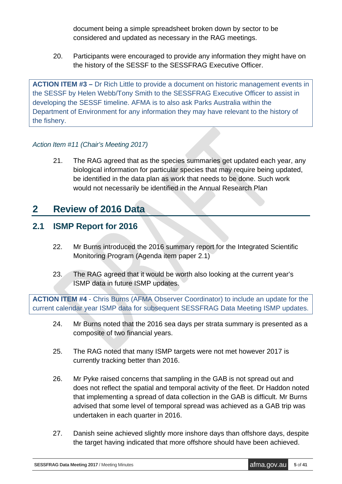document being a simple spreadsheet broken down by sector to be considered and updated as necessary in the RAG meetings.

20. Participants were encouraged to provide any information they might have on the history of the SESSF to the SESSFRAG Executive Officer.

**ACTION ITEM #3 –** Dr Rich Little to provide a document on historic management events in the SESSF by Helen Webb/Tony Smith to the SESSFRAG Executive Officer to assist in developing the SESSF timeline. AFMA is to also ask Parks Australia within the Department of Environment for any information they may have relevant to the history of the fishery.

#### *Action Item #11 (Chair's Meeting 2017)*

21. The RAG agreed that as the species summaries get updated each year, any biological information for particular species that may require being updated, be identified in the data plan as work that needs to be done. Such work would not necessarily be identified in the Annual Research Plan

## **2 Review of 2016 Data**

## **2.1 ISMP Report for 2016**

- 22. Mr Burns introduced the 2016 summary report for the Integrated Scientific Monitoring Program (Agenda item paper 2.1)
- 23. The RAG agreed that it would be worth also looking at the current year's ISMP data in future ISMP updates.

**ACTION ITEM #4** - Chris Burns (AFMA Observer Coordinator) to include an update for the current calendar year ISMP data for subsequent SESSFRAG Data Meeting ISMP updates.

- 24. Mr Burns noted that the 2016 sea days per strata summary is presented as a composite of two financial years.
- 25. The RAG noted that many ISMP targets were not met however 2017 is currently tracking better than 2016.
- 26. Mr Pyke raised concerns that sampling in the GAB is not spread out and does not reflect the spatial and temporal activity of the fleet. Dr Haddon noted that implementing a spread of data collection in the GAB is difficult. Mr Burns advised that some level of temporal spread was achieved as a GAB trip was undertaken in each quarter in 2016.
- 27. Danish seine achieved slightly more inshore days than offshore days, despite the target having indicated that more offshore should have been achieved.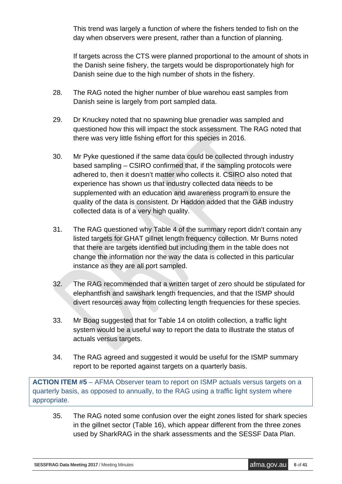This trend was largely a function of where the fishers tended to fish on the day when observers were present, rather than a function of planning.

If targets across the CTS were planned proportional to the amount of shots in the Danish seine fishery, the targets would be disproportionately high for Danish seine due to the high number of shots in the fishery.

- 28. The RAG noted the higher number of blue warehou east samples from Danish seine is largely from port sampled data.
- 29. Dr Knuckey noted that no spawning blue grenadier was sampled and questioned how this will impact the stock assessment. The RAG noted that there was very little fishing effort for this species in 2016.
- 30. Mr Pyke questioned if the same data could be collected through industry based sampling – CSIRO confirmed that, if the sampling protocols were adhered to, then it doesn't matter who collects it. CSIRO also noted that experience has shown us that industry collected data needs to be supplemented with an education and awareness program to ensure the quality of the data is consistent. Dr Haddon added that the GAB industry collected data is of a very high quality.
- 31. The RAG questioned why Table 4 of the summary report didn't contain any listed targets for GHAT gillnet length frequency collection. Mr Burns noted that there are targets identified but including them in the table does not change the information nor the way the data is collected in this particular instance as they are all port sampled.
- 32. The RAG recommended that a written target of zero should be stipulated for elephantfish and sawshark length frequencies, and that the ISMP should divert resources away from collecting length frequencies for these species.
- 33. Mr Boag suggested that for Table 14 on otolith collection, a traffic light system would be a useful way to report the data to illustrate the status of actuals versus targets.
- 34. The RAG agreed and suggested it would be useful for the ISMP summary report to be reported against targets on a quarterly basis.

**ACTION ITEM #5** – AFMA Observer team to report on ISMP actuals versus targets on a quarterly basis, as opposed to annually, to the RAG using a traffic light system where appropriate.

35. The RAG noted some confusion over the eight zones listed for shark species in the gillnet sector (Table 16), which appear different from the three zones used by SharkRAG in the shark assessments and the SESSF Data Plan.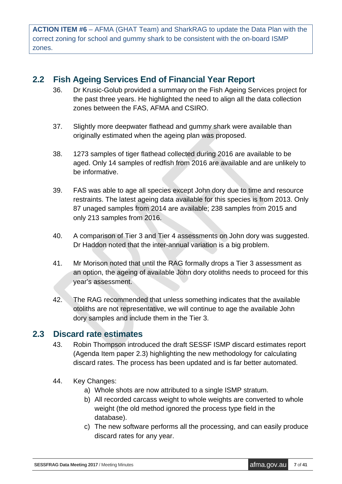**ACTION ITEM #6** – AFMA (GHAT Team) and SharkRAG to update the Data Plan with the correct zoning for school and gummy shark to be consistent with the on-board ISMP zones.

### **2.2 Fish Ageing Services End of Financial Year Report**

- 36. Dr Krusic-Golub provided a summary on the Fish Ageing Services project for the past three years. He highlighted the need to align all the data collection zones between the FAS, AFMA and CSIRO.
- 37. Slightly more deepwater flathead and gummy shark were available than originally estimated when the ageing plan was proposed.
- 38. 1273 samples of tiger flathead collected during 2016 are available to be aged. Only 14 samples of redfish from 2016 are available and are unlikely to be informative.
- 39. FAS was able to age all species except John dory due to time and resource restraints. The latest ageing data available for this species is from 2013. Only 87 unaged samples from 2014 are available; 238 samples from 2015 and only 213 samples from 2016.
- 40. A comparison of Tier 3 and Tier 4 assessments on John dory was suggested. Dr Haddon noted that the inter-annual variation is a big problem.
- 41. Mr Morison noted that until the RAG formally drops a Tier 3 assessment as an option, the ageing of available John dory otoliths needs to proceed for this year's assessment.
- 42. The RAG recommended that unless something indicates that the available otoliths are not representative, we will continue to age the available John dory samples and include them in the Tier 3.

## **2.3 Discard rate estimates**

- 43. Robin Thompson introduced the draft SESSF ISMP discard estimates report (Agenda Item paper 2.3) highlighting the new methodology for calculating discard rates. The process has been updated and is far better automated.
- 44. Key Changes:
	- a) Whole shots are now attributed to a single ISMP stratum.
	- b) All recorded carcass weight to whole weights are converted to whole weight (the old method ignored the process type field in the database).
	- c) The new software performs all the processing, and can easily produce discard rates for any year.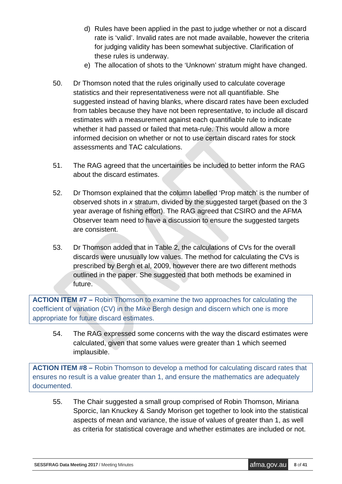- d) Rules have been applied in the past to judge whether or not a discard rate is 'valid'. Invalid rates are not made available, however the criteria for judging validity has been somewhat subjective. Clarification of these rules is underway.
- e) The allocation of shots to the 'Unknown' stratum might have changed.
- 50. Dr Thomson noted that the rules originally used to calculate coverage statistics and their representativeness were not all quantifiable. She suggested instead of having blanks, where discard rates have been excluded from tables because they have not been representative, to include all discard estimates with a measurement against each quantifiable rule to indicate whether it had passed or failed that meta-rule. This would allow a more informed decision on whether or not to use certain discard rates for stock assessments and TAC calculations.
- 51. The RAG agreed that the uncertainties be included to better inform the RAG about the discard estimates.
- 52. Dr Thomson explained that the column labelled 'Prop match' is the number of observed shots in *x* stratum, divided by the suggested target (based on the 3 year average of fishing effort). The RAG agreed that CSIRO and the AFMA Observer team need to have a discussion to ensure the suggested targets are consistent.
- 53. Dr Thomson added that in Table 2, the calculations of CVs for the overall discards were unusually low values. The method for calculating the CVs is prescribed by Bergh et al, 2009, however there are two different methods outlined in the paper. She suggested that both methods be examined in future.

**ACTION ITEM #7 –** Robin Thomson to examine the two approaches for calculating the coefficient of variation (CV) in the Mike Bergh design and discern which one is more appropriate for future discard estimates.

54. The RAG expressed some concerns with the way the discard estimates were calculated, given that some values were greater than 1 which seemed implausible.

**ACTION ITEM #8 –** Robin Thomson to develop a method for calculating discard rates that ensures no result is a value greater than 1, and ensure the mathematics are adequately documented.

55. The Chair suggested a small group comprised of Robin Thomson, Miriana Sporcic, Ian Knuckey & Sandy Morison get together to look into the statistical aspects of mean and variance, the issue of values of greater than 1, as well as criteria for statistical coverage and whether estimates are included or not.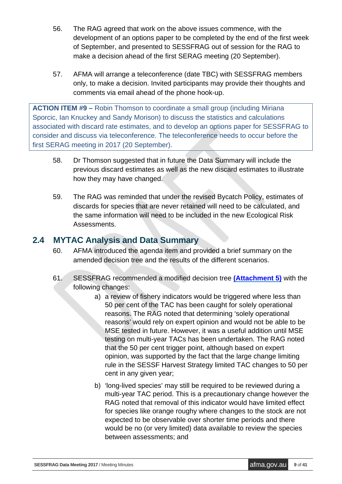- 56. The RAG agreed that work on the above issues commence, with the development of an options paper to be completed by the end of the first week of September, and presented to SESSFRAG out of session for the RAG to make a decision ahead of the first SERAG meeting (20 September).
- 57. AFMA will arrange a teleconference (date TBC) with SESSFRAG members only, to make a decision. Invited participants may provide their thoughts and comments via email ahead of the phone hook-up.

**ACTION ITEM #9 –** Robin Thomson to coordinate a small group (including Miriana Sporcic, Ian Knuckey and Sandy Morison) to discuss the statistics and calculations associated with discard rate estimates, and to develop an options paper for SESSFRAG to consider and discuss via teleconference. The teleconference needs to occur before the first SERAG meeting in 2017 (20 September).

- 58. Dr Thomson suggested that in future the Data Summary will include the previous discard estimates as well as the new discard estimates to illustrate how they may have changed.
- 59. The RAG was reminded that under the revised Bycatch Policy, estimates of discards for species that are never retained will need to be calculated, and the same information will need to be included in the new Ecological Risk Assessments.

## **2.4 MYTAC Analysis and Data Summary**

- 60. AFMA introduced the agenda item and provided a brief summary on the amended decision tree and the results of the different scenarios.
- 61. SESSFRAG recommended a modified decision tree **[\(Attachment 5\)](#page-40-0)** with the following changes:
	- a) a review of fishery indicators would be triggered where less than 50 per cent of the TAC has been caught for solely operational reasons. The RAG noted that determining 'solely operational reasons' would rely on expert opinion and would not be able to be MSE tested in future. However, it was a useful addition until MSE testing on multi-year TACs has been undertaken. The RAG noted that the 50 per cent trigger point, although based on expert opinion, was supported by the fact that the large change limiting rule in the SESSF Harvest Strategy limited TAC changes to 50 per cent in any given year;
	- b) 'long-lived species' may still be required to be reviewed during a multi-year TAC period. This is a precautionary change however the RAG noted that removal of this indicator would have limited effect for species like orange roughy where changes to the stock are not expected to be observable over shorter time periods and there would be no (or very limited) data available to review the species between assessments; and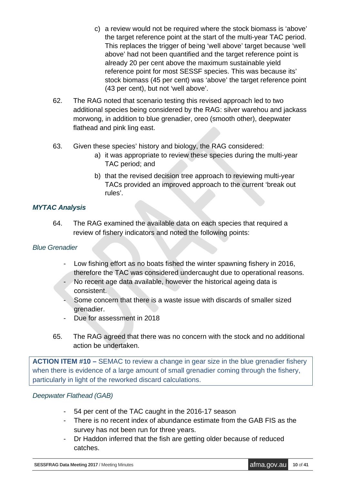- c) a review would not be required where the stock biomass is 'above' the target reference point at the start of the multi-year TAC period. This replaces the trigger of being 'well above' target because 'well above' had not been quantified and the target reference point is already 20 per cent above the maximum sustainable yield reference point for most SESSF species. This was because its' stock biomass (45 per cent) was 'above' the target reference point (43 per cent), but not 'well above'.
- 62. The RAG noted that scenario testing this revised approach led to two additional species being considered by the RAG: silver warehou and jackass morwong, in addition to blue grenadier, oreo (smooth other), deepwater flathead and pink ling east.
- 63. Given these species' history and biology, the RAG considered:
	- a) it was appropriate to review these species during the multi-year TAC period; and
	- b) that the revised decision tree approach to reviewing multi-year TACs provided an improved approach to the current 'break out rules'.

#### *MYTAC Analysis*

64. The RAG examined the available data on each species that required a review of fishery indicators and noted the following points:

#### *Blue Grenadier*

- Low fishing effort as no boats fished the winter spawning fishery in 2016, therefore the TAC was considered undercaught due to operational reasons.
- No recent age data available, however the historical ageing data is consistent.
- Some concern that there is a waste issue with discards of smaller sized grenadier.
- Due for assessment in 2018
- 65. The RAG agreed that there was no concern with the stock and no additional action be undertaken.

**ACTION ITEM #10 –** SEMAC to review a change in gear size in the blue grenadier fishery when there is evidence of a large amount of small grenadier coming through the fishery, particularly in light of the reworked discard calculations.

#### *Deepwater Flathead (GAB)*

- 54 per cent of the TAC caught in the 2016-17 season
- There is no recent index of abundance estimate from the GAB FIS as the survey has not been run for three years.
- Dr Haddon inferred that the fish are getting older because of reduced catches.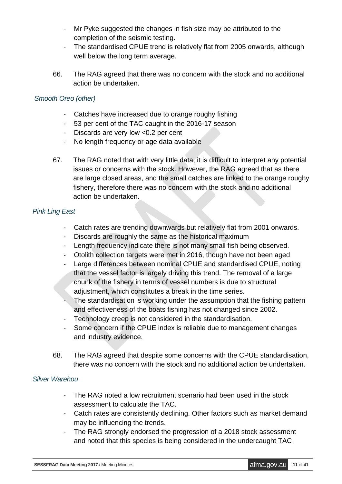- Mr Pyke suggested the changes in fish size may be attributed to the completion of the seismic testing.
- The standardised CPUE trend is relatively flat from 2005 onwards, although well below the long term average.
- 66. The RAG agreed that there was no concern with the stock and no additional action be undertaken.

#### *Smooth Oreo (other)*

- Catches have increased due to orange roughy fishing
- 53 per cent of the TAC caught in the 2016-17 season
- Discards are very low <0.2 per cent
- No length frequency or age data available
- 67. The RAG noted that with very little data, it is difficult to interpret any potential issues or concerns with the stock. However, the RAG agreed that as there are large closed areas, and the small catches are linked to the orange roughy fishery, therefore there was no concern with the stock and no additional action be undertaken.

#### *Pink Ling East*

- Catch rates are trending downwards but relatively flat from 2001 onwards.
- Discards are roughly the same as the historical maximum
- Length frequency indicate there is not many small fish being observed.
- Otolith collection targets were met in 2016, though have not been aged
- Large differences between nominal CPUE and standardised CPUE, noting that the vessel factor is largely driving this trend. The removal of a large chunk of the fishery in terms of vessel numbers is due to structural adjustment, which constitutes a break in the time series.
- The standardisation is working under the assumption that the fishing pattern and effectiveness of the boats fishing has not changed since 2002.
- Technology creep is not considered in the standardisation.
- Some concern if the CPUE index is reliable due to management changes and industry evidence.
- 68. The RAG agreed that despite some concerns with the CPUE standardisation, there was no concern with the stock and no additional action be undertaken.

#### *Silver Warehou*

- The RAG noted a low recruitment scenario had been used in the stock assessment to calculate the TAC.
- Catch rates are consistently declining. Other factors such as market demand may be influencing the trends.
- The RAG strongly endorsed the progression of a 2018 stock assessment and noted that this species is being considered in the undercaught TAC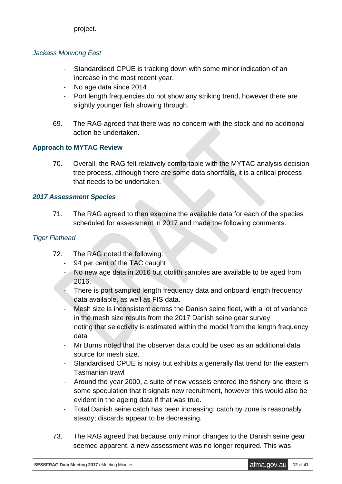project.

#### *Jackass Morwong East*

- Standardised CPUE is tracking down with some minor indication of an increase in the most recent year.
- No age data since 2014
- Port length frequencies do not show any striking trend, however there are slightly younger fish showing through.
- 69. The RAG agreed that there was no concern with the stock and no additional action be undertaken.

#### **Approach to MYTAC Review**

70. Overall, the RAG felt relatively comfortable with the MYTAC analysis decision tree process, although there are some data shortfalls, it is a critical process that needs to be undertaken.

#### *2017 Assessment Species*

71. The RAG agreed to then examine the available data for each of the species scheduled for assessment in 2017 and made the following comments.

#### *Tiger Flathead*

- 72. The RAG noted the following:
	- 94 per cent of the TAC caught
	- No new age data in 2016 but otolith samples are available to be aged from 2016.
	- There is port sampled length frequency data and onboard length frequency data available, as well as FIS data.
	- Mesh size is inconsistent across the Danish seine fleet, with a lot of variance in the mesh size results from the 2017 Danish seine gear survey noting that selectivity is estimated within the model from the length frequency data
	- Mr Burns noted that the observer data could be used as an additional data source for mesh size.
	- Standardised CPUE is noisy but exhibits a generally flat trend for the eastern Tasmanian trawl
	- Around the year 2000, a suite of new vessels entered the fishery and there is some speculation that it signals new recruitment, however this would also be evident in the ageing data if that was true.
	- Total Danish seine catch has been increasing; catch by zone is reasonably steady; discards appear to be decreasing.
- 73. The RAG agreed that because only minor changes to the Danish seine gear seemed apparent, a new assessment was no longer required. This was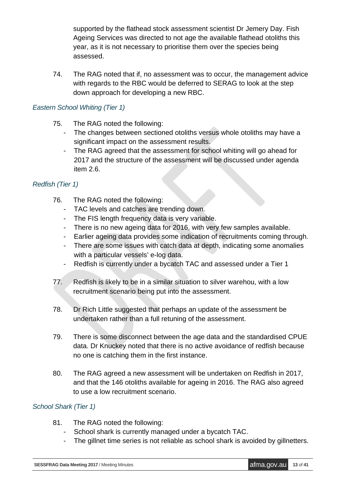supported by the flathead stock assessment scientist Dr Jemery Day. Fish Ageing Services was directed to not age the available flathead otoliths this year, as it is not necessary to prioritise them over the species being assessed.

74. The RAG noted that if, no assessment was to occur, the management advice with regards to the RBC would be deferred to SERAG to look at the step down approach for developing a new RBC.

#### *Eastern School Whiting (Tier 1)*

- 75. The RAG noted the following:
	- The changes between sectioned otoliths versus whole otoliths may have a significant impact on the assessment results.
	- The RAG agreed that the assessment for school whiting will go ahead for 2017 and the structure of the assessment will be discussed under agenda item 2.6.

#### *Redfish (Tier 1)*

- 76. The RAG noted the following:
	- TAC levels and catches are trending down.
	- The FIS length frequency data is very variable.
	- There is no new ageing data for 2016, with very few samples available.
	- Earlier ageing data provides some indication of recruitments coming through.
	- There are some issues with catch data at depth, indicating some anomalies with a particular vessels' e-log data.
	- Redfish is currently under a bycatch TAC and assessed under a Tier 1
- 77. Redfish is likely to be in a similar situation to silver warehou, with a low recruitment scenario being put into the assessment.
- 78. Dr Rich Little suggested that perhaps an update of the assessment be undertaken rather than a full retuning of the assessment.
- 79. There is some disconnect between the age data and the standardised CPUE data. Dr Knuckey noted that there is no active avoidance of redfish because no one is catching them in the first instance.
- 80. The RAG agreed a new assessment will be undertaken on Redfish in 2017, and that the 146 otoliths available for ageing in 2016. The RAG also agreed to use a low recruitment scenario.

#### *School Shark (Tier 1)*

- 81. The RAG noted the following:
	- School shark is currently managed under a bycatch TAC.
	- The gillnet time series is not reliable as school shark is avoided by gillnetters.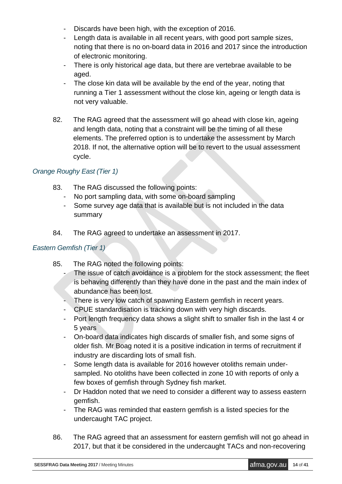- Discards have been high, with the exception of 2016.
- Length data is available in all recent years, with good port sample sizes, noting that there is no on-board data in 2016 and 2017 since the introduction of electronic monitoring.
- There is only historical age data, but there are vertebrae available to be aged.
- The close kin data will be available by the end of the year, noting that running a Tier 1 assessment without the close kin, ageing or length data is not very valuable.
- 82. The RAG agreed that the assessment will go ahead with close kin, ageing and length data, noting that a constraint will be the timing of all these elements. The preferred option is to undertake the assessment by March 2018. If not, the alternative option will be to revert to the usual assessment cycle.

#### *Orange Roughy East (Tier 1)*

- 83. The RAG discussed the following points:
	- No port sampling data, with some on-board sampling
	- Some survey age data that is available but is not included in the data summary
- 84. The RAG agreed to undertake an assessment in 2017.

#### *Eastern Gemfish (Tier 1)*

- 85. The RAG noted the following points:
	- The issue of catch avoidance is a problem for the stock assessment; the fleet is behaving differently than they have done in the past and the main index of abundance has been lost.
	- There is very low catch of spawning Eastern gemfish in recent years.
	- CPUE standardisation is tracking down with very high discards.
	- Port length frequency data shows a slight shift to smaller fish in the last 4 or 5 years
	- On-board data indicates high discards of smaller fish, and some signs of older fish. Mr Boag noted it is a positive indication in terms of recruitment if industry are discarding lots of small fish.
	- Some length data is available for 2016 however otoliths remain undersampled. No otoliths have been collected in zone 10 with reports of only a few boxes of gemfish through Sydney fish market.
	- Dr Haddon noted that we need to consider a different way to assess eastern gemfish.
	- The RAG was reminded that eastern gemfish is a listed species for the undercaught TAC project.
- 86. The RAG agreed that an assessment for eastern gemfish will not go ahead in 2017, but that it be considered in the undercaught TACs and non-recovering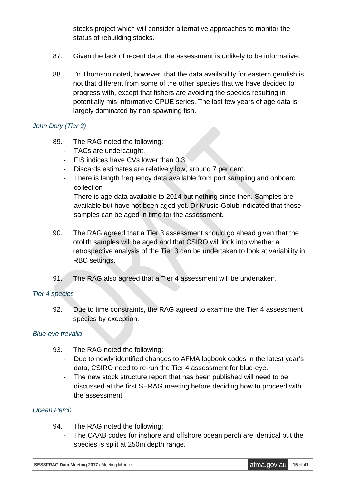stocks project which will consider alternative approaches to monitor the status of rebuilding stocks.

- 87. Given the lack of recent data, the assessment is unlikely to be informative.
- 88. Dr Thomson noted, however, that the data availability for eastern gemfish is not that different from some of the other species that we have decided to progress with, except that fishers are avoiding the species resulting in potentially mis-informative CPUE series. The last few years of age data is largely dominated by non-spawning fish.

#### *John Dory (Tier 3)*

- 89. The RAG noted the following:
	- TACs are undercaught.
	- FIS indices have CVs lower than 0.3.
	- Discards estimates are relatively low, around 7 per cent.
	- There is length frequency data available from port sampling and onboard collection
	- There is age data available to 2014 but nothing since then. Samples are available but have not been aged yet. Dr Krusic-Golub indicated that those samples can be aged in time for the assessment.
- 90. The RAG agreed that a Tier 3 assessment should go ahead given that the otolith samples will be aged and that CSIRO will look into whether a retrospective analysis of the Tier 3 can be undertaken to look at variability in RBC settings.
- 91. The RAG also agreed that a Tier 4 assessment will be undertaken.

#### *Tier 4 species*

92. Due to time constraints, the RAG agreed to examine the Tier 4 assessment species by exception.

#### *Blue-eye trevalla*

- 93. The RAG noted the following:
	- Due to newly identified changes to AFMA logbook codes in the latest year's data, CSIRO need to re-run the Tier 4 assessment for blue-eye.
	- The new stock structure report that has been published will need to be discussed at the first SERAG meeting before deciding how to proceed with the assessment.

#### *Ocean Perch*

- 94. The RAG noted the following:
	- The CAAB codes for inshore and offshore ocean perch are identical but the species is split at 250m depth range.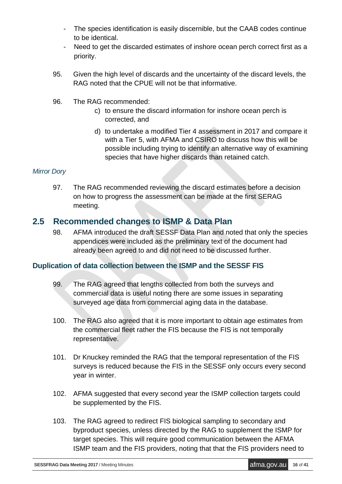- The species identification is easily discernible, but the CAAB codes continue to be identical.
- Need to get the discarded estimates of inshore ocean perch correct first as a priority.
- 95. Given the high level of discards and the uncertainty of the discard levels, the RAG noted that the CPUE will not be that informative.
- 96. The RAG recommended:
	- c) to ensure the discard information for inshore ocean perch is corrected, and
	- d) to undertake a modified Tier 4 assessment in 2017 and compare it with a Tier 5, with AFMA and CSIRO to discuss how this will be possible including trying to identify an alternative way of examining species that have higher discards than retained catch.

#### *Mirror Dory*

97. The RAG recommended reviewing the discard estimates before a decision on how to progress the assessment can be made at the first SERAG meeting.

### **2.5 Recommended changes to ISMP & Data Plan**

98. AFMA introduced the draft SESSF Data Plan and noted that only the species appendices were included as the preliminary text of the document had already been agreed to and did not need to be discussed further.

#### **Duplication of data collection between the ISMP and the SESSF FIS**

- 99. The RAG agreed that lengths collected from both the surveys and commercial data is useful noting there are some issues in separating surveyed age data from commercial aging data in the database.
- 100. The RAG also agreed that it is more important to obtain age estimates from the commercial fleet rather the FIS because the FIS is not temporally representative.
- 101. Dr Knuckey reminded the RAG that the temporal representation of the FIS surveys is reduced because the FIS in the SESSF only occurs every second year in winter.
- 102. AFMA suggested that every second year the ISMP collection targets could be supplemented by the FIS.
- 103. The RAG agreed to redirect FIS biological sampling to secondary and byproduct species, unless directed by the RAG to supplement the ISMP for target species. This will require good communication between the AFMA ISMP team and the FIS providers, noting that that the FIS providers need to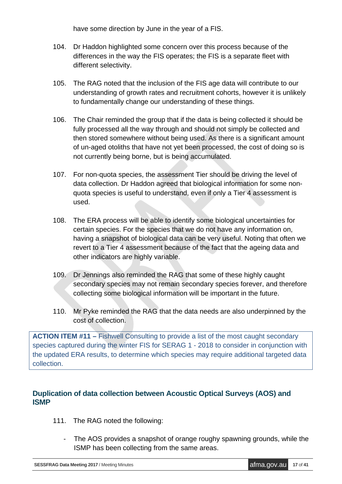have some direction by June in the year of a FIS.

- 104. Dr Haddon highlighted some concern over this process because of the differences in the way the FIS operates; the FIS is a separate fleet with different selectivity.
- 105. The RAG noted that the inclusion of the FIS age data will contribute to our understanding of growth rates and recruitment cohorts, however it is unlikely to fundamentally change our understanding of these things.
- 106. The Chair reminded the group that if the data is being collected it should be fully processed all the way through and should not simply be collected and then stored somewhere without being used. As there is a significant amount of un-aged otoliths that have not yet been processed, the cost of doing so is not currently being borne, but is being accumulated.
- 107. For non-quota species, the assessment Tier should be driving the level of data collection. Dr Haddon agreed that biological information for some nonquota species is useful to understand, even if only a Tier 4 assessment is used.
- 108. The ERA process will be able to identify some biological uncertainties for certain species. For the species that we do not have any information on, having a snapshot of biological data can be very useful. Noting that often we revert to a Tier 4 assessment because of the fact that the ageing data and other indicators are highly variable.
- 109. Dr Jennings also reminded the RAG that some of these highly caught secondary species may not remain secondary species forever, and therefore collecting some biological information will be important in the future.
- 110. Mr Pyke reminded the RAG that the data needs are also underpinned by the cost of collection.

**ACTION ITEM #11 –** Fishwell Consulting to provide a list of the most caught secondary species captured during the winter FIS for SERAG 1 - 2018 to consider in conjunction with the updated ERA results, to determine which species may require additional targeted data collection.

#### **Duplication of data collection between Acoustic Optical Surveys (AOS) and ISMP**

- 111. The RAG noted the following:
	- The AOS provides a snapshot of orange roughy spawning grounds, while the ISMP has been collecting from the same areas.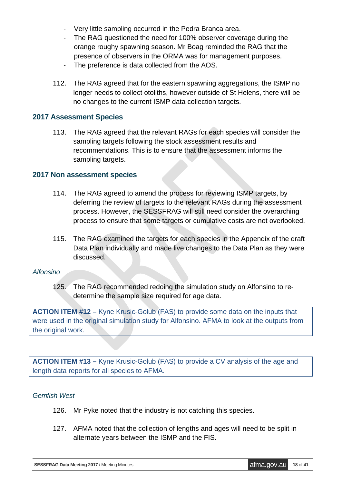- Very little sampling occurred in the Pedra Branca area.
- The RAG questioned the need for 100% observer coverage during the orange roughy spawning season. Mr Boag reminded the RAG that the presence of observers in the ORMA was for management purposes.
- The preference is data collected from the AOS.
- 112. The RAG agreed that for the eastern spawning aggregations, the ISMP no longer needs to collect otoliths, however outside of St Helens, there will be no changes to the current ISMP data collection targets.

#### **2017 Assessment Species**

113. The RAG agreed that the relevant RAGs for each species will consider the sampling targets following the stock assessment results and recommendations. This is to ensure that the assessment informs the sampling targets.

#### **2017 Non assessment species**

- 114. The RAG agreed to amend the process for reviewing ISMP targets, by deferring the review of targets to the relevant RAGs during the assessment process. However, the SESSFRAG will still need consider the overarching process to ensure that some targets or cumulative costs are not overlooked.
- 115. The RAG examined the targets for each species in the Appendix of the draft Data Plan individually and made live changes to the Data Plan as they were discussed.

#### *Alfonsino*

125. The RAG recommended redoing the simulation study on Alfonsino to redetermine the sample size required for age data.

**ACTION ITEM #12 –** Kyne Krusic-Golub (FAS) to provide some data on the inputs that were used in the original simulation study for Alfonsino. AFMA to look at the outputs from the original work.

**ACTION ITEM #13 –** Kyne Krusic-Golub (FAS) to provide a CV analysis of the age and length data reports for all species to AFMA.

#### *Gemfish West*

- 126. Mr Pyke noted that the industry is not catching this species.
- 127. AFMA noted that the collection of lengths and ages will need to be split in alternate years between the ISMP and the FIS.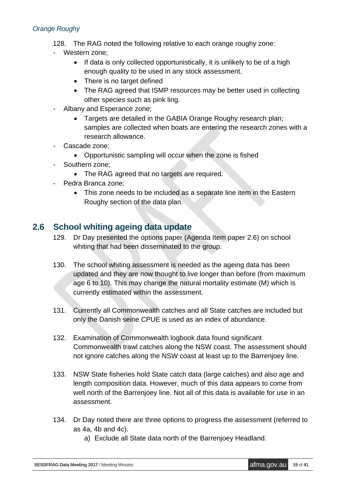#### *Orange Roughy*

- 128. The RAG noted the following relative to each orange roughy zone:
- Western zone;
	- If data is only collected opportunistically, it is unlikely to be of a high enough quality to be used in any stock assessment.
	- There is no target defined
	- The RAG agreed that ISMP resources may be better used in collecting other species such as pink ling.
- Albany and Esperance zone;
	- Targets are detailed in the GABIA Orange Roughy research plan; samples are collected when boats are entering the research zones with a research allowance.
- Cascade zone;
	- Opportunistic sampling will occur when the zone is fished
- Southern zone;
	- The RAG agreed that no targets are required.
- Pedra Branca zone;
	- This zone needs to be included as a separate line item in the Eastern Roughy section of the data plan.

## **2.6 School whiting ageing data update**

- 129. Dr Day presented the options paper (Agenda Item paper 2.6) on school whiting that had been disseminated to the group.
- 130. The school whiting assessment is needed as the ageing data has been updated and they are now thought to live longer than before (from maximum age 6 to 10). This may change the natural mortality estimate (M) which is currently estimated within the assessment.
- 131. Currently all Commonwealth catches and all State catches are included but only the Danish seine CPUE is used as an index of abundance.
- 132. Examination of Commonwealth logbook data found significant Commonwealth trawl catches along the NSW coast. The assessment should not ignore catches along the NSW coast at least up to the Barrenjoey line.
- 133. NSW State fisheries hold State catch data (large catches) and also age and length composition data. However, much of this data appears to come from well north of the Barrenjoey line. Not all of this data is available for use in an assessment.
- 134. Dr Day noted there are three options to progress the assessment (referred to as 4a, 4b and 4c).
	- a) Exclude all State data north of the Barrenjoey Headland.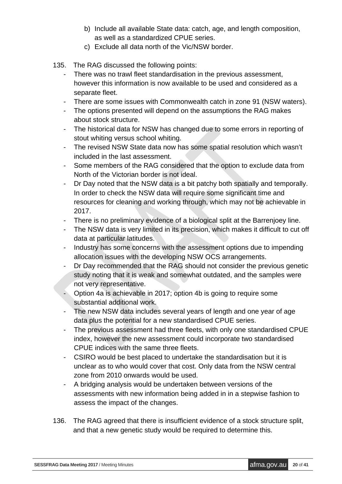- b) Include all available State data: catch, age, and length composition, as well as a standardized CPUE series.
- c) Exclude all data north of the Vic/NSW border.
- 135. The RAG discussed the following points:
	- There was no trawl fleet standardisation in the previous assessment, however this information is now available to be used and considered as a separate fleet.
	- There are some issues with Commonwealth catch in zone 91 (NSW waters).
	- The options presented will depend on the assumptions the RAG makes about stock structure.
	- The historical data for NSW has changed due to some errors in reporting of stout whiting versus school whiting.
	- The revised NSW State data now has some spatial resolution which wasn't included in the last assessment.
	- Some members of the RAG considered that the option to exclude data from North of the Victorian border is not ideal.
	- Dr Day noted that the NSW data is a bit patchy both spatially and temporally. In order to check the NSW data will require some significant time and resources for cleaning and working through, which may not be achievable in 2017.
	- There is no preliminary evidence of a biological split at the Barrenjoey line.
	- The NSW data is very limited in its precision, which makes it difficult to cut off data at particular latitudes.
	- Industry has some concerns with the assessment options due to impending allocation issues with the developing NSW OCS arrangements.
	- Dr Day recommended that the RAG should not consider the previous genetic study noting that it is weak and somewhat outdated, and the samples were not very representative.
	- Option 4a is achievable in 2017; option 4b is going to require some substantial additional work.
	- The new NSW data includes several years of length and one year of age data plus the potential for a new standardised CPUE series.
	- The previous assessment had three fleets, with only one standardised CPUE index, however the new assessment could incorporate two standardised CPUE indices with the same three fleets.
	- CSIRO would be best placed to undertake the standardisation but it is unclear as to who would cover that cost. Only data from the NSW central zone from 2010 onwards would be used.
	- A bridging analysis would be undertaken between versions of the assessments with new information being added in in a stepwise fashion to assess the impact of the changes.
- 136. The RAG agreed that there is insufficient evidence of a stock structure split, and that a new genetic study would be required to determine this.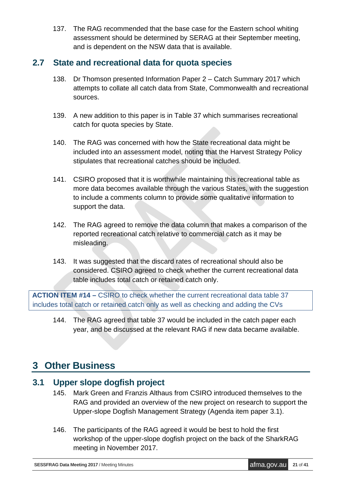137. The RAG recommended that the base case for the Eastern school whiting assessment should be determined by SERAG at their September meeting, and is dependent on the NSW data that is available.

## **2.7 State and recreational data for quota species**

- 138. Dr Thomson presented Information Paper 2 Catch Summary 2017 which attempts to collate all catch data from State, Commonwealth and recreational sources.
- 139. A new addition to this paper is in Table 37 which summarises recreational catch for quota species by State.
- 140. The RAG was concerned with how the State recreational data might be included into an assessment model, noting that the Harvest Strategy Policy stipulates that recreational catches should be included.
- 141. CSIRO proposed that it is worthwhile maintaining this recreational table as more data becomes available through the various States, with the suggestion to include a comments column to provide some qualitative information to support the data.
- 142. The RAG agreed to remove the data column that makes a comparison of the reported recreational catch relative to commercial catch as it may be misleading.
- 143. It was suggested that the discard rates of recreational should also be considered. CSIRO agreed to check whether the current recreational data table includes total catch or retained catch only.

**ACTION ITEM #14 –** CSIRO to check whether the current recreational data table 37 includes total catch or retained catch only as well as checking and adding the CVs

144. The RAG agreed that table 37 would be included in the catch paper each year, and be discussed at the relevant RAG if new data became available.

## **3 Other Business**

## **3.1 Upper slope dogfish project**

- 145. Mark Green and Franzis Althaus from CSIRO introduced themselves to the RAG and provided an overview of the new project on research to support the Upper-slope Dogfish Management Strategy (Agenda item paper 3.1).
- 146. The participants of the RAG agreed it would be best to hold the first workshop of the upper-slope dogfish project on the back of the SharkRAG meeting in November 2017.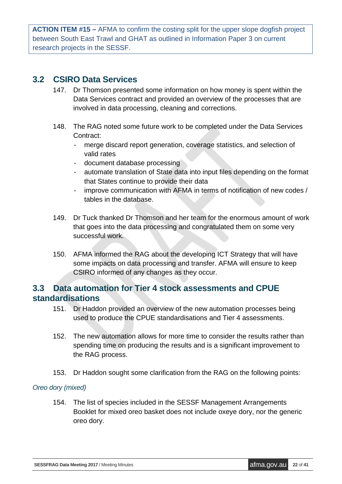**ACTION ITEM #15 –** AFMA to confirm the costing split for the upper slope dogfish project between South East Trawl and GHAT as outlined in Information Paper 3 on current research projects in the SESSF.

### **3.2 CSIRO Data Services**

- 147. Dr Thomson presented some information on how money is spent within the Data Services contract and provided an overview of the processes that are involved in data processing, cleaning and corrections.
- 148. The RAG noted some future work to be completed under the Data Services Contract:
	- merge discard report generation, coverage statistics, and selection of valid rates
	- document database processing
	- automate translation of State data into input files depending on the format that States continue to provide their data
	- improve communication with AFMA in terms of notification of new codes / tables in the database.
- 149. Dr Tuck thanked Dr Thomson and her team for the enormous amount of work that goes into the data processing and congratulated them on some very successful work.
- 150. AFMA informed the RAG about the developing ICT Strategy that will have some impacts on data processing and transfer. AFMA will ensure to keep CSIRO informed of any changes as they occur.

## **3.3 Data automation for Tier 4 stock assessments and CPUE standardisations**

- 151. Dr Haddon provided an overview of the new automation processes being used to produce the CPUE standardisations and Tier 4 assessments.
- 152. The new automation allows for more time to consider the results rather than spending time on producing the results and is a significant improvement to the RAG process.
- 153. Dr Haddon sought some clarification from the RAG on the following points:

#### *Oreo dory (mixed)*

154. The list of species included in the SESSF Management Arrangements Booklet for mixed oreo basket does not include oxeye dory, nor the generic oreo dory.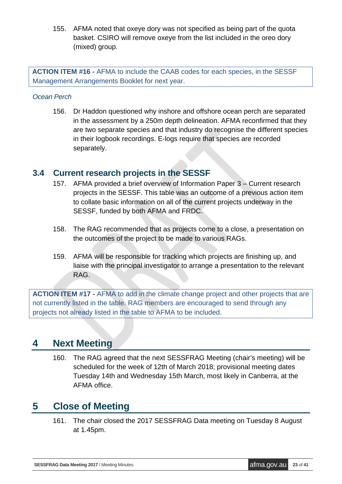155. AFMA noted that oxeye dory was not specified as being part of the quota basket. CSIRO will remove oxeye from the list included in the oreo dory (mixed) group.

**ACTION ITEM #16 -** AFMA to include the CAAB codes for each species, in the SESSF Management Arrangements Booklet for next year.

#### *Ocean Perch*

156. Dr Haddon questioned why inshore and offshore ocean perch are separated in the assessment by a 250m depth delineation. AFMA reconfirmed that they are two separate species and that industry do recognise the different species in their logbook recordings. E-logs require that species are recorded separately.

### **3.4 Current research projects in the SESSF**

- 157. AFMA provided a brief overview of Information Paper 3 Current research projects in the SESSF. This table was an outcome of a previous action item to collate basic information on all of the current projects underway in the SESSF, funded by both AFMA and FRDC.
- 158. The RAG recommended that as projects come to a close, a presentation on the outcomes of the project to be made to various RAGs.
- 159. AFMA will be responsible for tracking which projects are finishing up, and liaise with the principal investigator to arrange a presentation to the relevant RAG.

**ACTION ITEM #17 -** AFMA to add in the climate change project and other projects that are not currently listed in the table. RAG members are encouraged to send through any projects not already listed in the table to AFMA to be included.

## **4 Next Meeting**

160. The RAG agreed that the next SESSFRAG Meeting (chair's meeting) will be scheduled for the week of 12th of March 2018; provisional meeting dates Tuesday 14th and Wednesday 15th March, most likely in Canberra, at the AFMA office.

## **5 Close of Meeting**

161. The chair closed the 2017 SESSFRAG Data meeting on Tuesday 8 August at 1.45pm.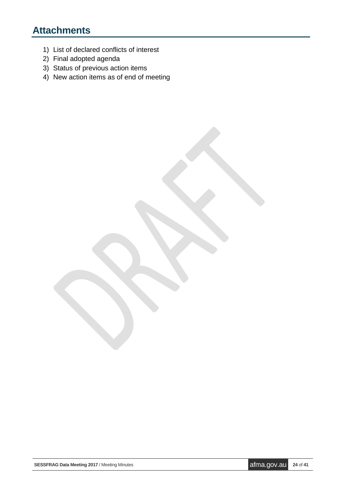# **Attachments**

- 1) List of declared conflicts of interest
- 2) Final adopted agenda
- 3) Status of previous action items
- 4) New action items as of end of meeting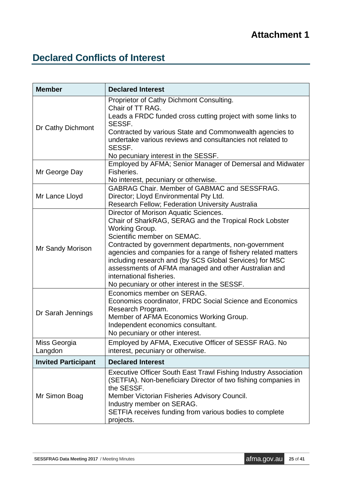# <span id="page-24-0"></span>**Declared Conflicts of Interest**

| <b>Member</b>              | <b>Declared Interest</b>                                                                                                                                                                                                                                                                                                                                                                                                                                                 |
|----------------------------|--------------------------------------------------------------------------------------------------------------------------------------------------------------------------------------------------------------------------------------------------------------------------------------------------------------------------------------------------------------------------------------------------------------------------------------------------------------------------|
| Dr Cathy Dichmont          | Proprietor of Cathy Dichmont Consulting.<br>Chair of TT RAG.<br>Leads a FRDC funded cross cutting project with some links to<br>SESSF.<br>Contracted by various State and Commonwealth agencies to<br>undertake various reviews and consultancies not related to<br>SESSF.<br>No pecuniary interest in the SESSF.                                                                                                                                                        |
| Mr George Day              | Employed by AFMA; Senior Manager of Demersal and Midwater<br>Fisheries.<br>No interest, pecuniary or otherwise.                                                                                                                                                                                                                                                                                                                                                          |
| Mr Lance Lloyd             | <b>GABRAG Chair. Member of GABMAC and SESSFRAG.</b><br>Director; Lloyd Environmental Pty Ltd.<br>Research Fellow; Federation University Australia                                                                                                                                                                                                                                                                                                                        |
| Mr Sandy Morison           | Director of Morison Aquatic Sciences.<br>Chair of SharkRAG, SERAG and the Tropical Rock Lobster<br>Working Group.<br>Scientific member on SEMAC.<br>Contracted by government departments, non-government<br>agencies and companies for a range of fishery related matters<br>including research and (by SCS Global Services) for MSC<br>assessments of AFMA managed and other Australian and<br>international fisheries.<br>No pecuniary or other interest in the SESSF. |
| Dr Sarah Jennings          | Economics member on SERAG.<br>Economics coordinator, FRDC Social Science and Economics<br>Research Program.<br>Member of AFMA Economics Working Group.<br>Independent economics consultant.<br>No pecuniary or other interest.                                                                                                                                                                                                                                           |
| Miss Georgia<br>Langdon    | Employed by AFMA, Executive Officer of SESSF RAG. No<br>interest, pecuniary or otherwise.                                                                                                                                                                                                                                                                                                                                                                                |
| <b>Invited Participant</b> | <b>Declared Interest</b>                                                                                                                                                                                                                                                                                                                                                                                                                                                 |
| Mr Simon Boag              | Executive Officer South East Trawl Fishing Industry Association<br>(SETFIA). Non-beneficiary Director of two fishing companies in<br>the SESSF.<br>Member Victorian Fisheries Advisory Council.<br>Industry member on SERAG.<br>SETFIA receives funding from various bodies to complete<br>projects.                                                                                                                                                                     |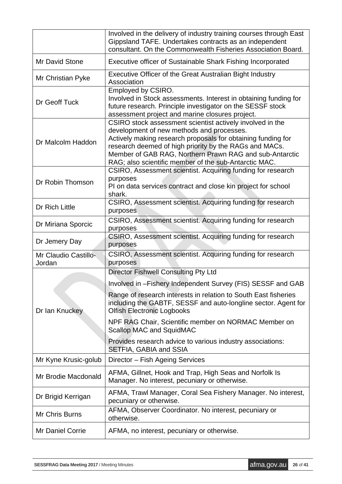|                                | Involved in the delivery of industry training courses through East<br>Gippsland TAFE. Undertakes contracts as an independent<br>consultant. On the Commonwealth Fisheries Association Board.                                                                                                                                                         |  |  |  |  |
|--------------------------------|------------------------------------------------------------------------------------------------------------------------------------------------------------------------------------------------------------------------------------------------------------------------------------------------------------------------------------------------------|--|--|--|--|
| Mr David Stone                 | <b>Executive officer of Sustainable Shark Fishing Incorporated</b>                                                                                                                                                                                                                                                                                   |  |  |  |  |
| Mr Christian Pyke              | Executive Officer of the Great Australian Bight Industry<br>Association                                                                                                                                                                                                                                                                              |  |  |  |  |
| Dr Geoff Tuck                  | Employed by CSIRO.<br>Involved in Stock assessments. Interest in obtaining funding for<br>future research. Principle investigator on the SESSF stock<br>assessment project and marine closures project.                                                                                                                                              |  |  |  |  |
| Dr Malcolm Haddon              | CSIRO stock assessment scientist actively involved in the<br>development of new methods and processes.<br>Actively making research proposals for obtaining funding for<br>research deemed of high priority by the RAGs and MACs.<br>Member of GAB RAG, Northern Prawn RAG and sub-Antarctic<br>RAG; also scientific member of the sub-Antarctic MAC. |  |  |  |  |
| Dr Robin Thomson               | CSIRO, Assessment scientist. Acquiring funding for research<br>purposes<br>PI on data services contract and close kin project for school<br>shark.                                                                                                                                                                                                   |  |  |  |  |
| Dr Rich Little                 | CSIRO, Assessment scientist. Acquiring funding for research<br>purposes                                                                                                                                                                                                                                                                              |  |  |  |  |
| Dr Miriana Sporcic             | CSIRO, Assessment scientist. Acquiring funding for research<br>purposes                                                                                                                                                                                                                                                                              |  |  |  |  |
| Dr Jemery Day                  | CSIRO, Assessment scientist. Acquiring funding for research<br>purposes                                                                                                                                                                                                                                                                              |  |  |  |  |
| Mr Claudio Castillo-<br>Jordan | CSIRO, Assessment scientist. Acquiring funding for research<br>purposes                                                                                                                                                                                                                                                                              |  |  |  |  |
|                                | <b>Director Fishwell Consulting Pty Ltd</b>                                                                                                                                                                                                                                                                                                          |  |  |  |  |
|                                | Involved in -Fishery Independent Survey (FIS) SESSF and GAB                                                                                                                                                                                                                                                                                          |  |  |  |  |
| Dr Ian Knuckey                 | Range of research interests in relation to South East fisheries<br>including the GABTF, SESSF and auto-longline sector. Agent for<br><b>Olfish Electronic Logbooks</b>                                                                                                                                                                               |  |  |  |  |
|                                | NPF RAG Chair, Scientific member on NORMAC Member on<br><b>Scallop MAC and SquidMAC</b>                                                                                                                                                                                                                                                              |  |  |  |  |
|                                | Provides research advice to various industry associations:<br>SETFIA, GABIA and SSIA                                                                                                                                                                                                                                                                 |  |  |  |  |
| Mr Kyne Krusic-golub           | Director - Fish Ageing Services                                                                                                                                                                                                                                                                                                                      |  |  |  |  |
| Mr Brodie Macdonald            | AFMA, Gillnet, Hook and Trap, High Seas and Norfolk Is<br>Manager. No interest, pecuniary or otherwise.                                                                                                                                                                                                                                              |  |  |  |  |
| Dr Brigid Kerrigan             | AFMA, Trawl Manager, Coral Sea Fishery Manager. No interest,<br>pecuniary or otherwise.                                                                                                                                                                                                                                                              |  |  |  |  |
| Mr Chris Burns                 | AFMA, Observer Coordinator. No interest, pecuniary or<br>otherwise.                                                                                                                                                                                                                                                                                  |  |  |  |  |
| <b>Mr Daniel Corrie</b>        | AFMA, no interest, pecuniary or otherwise.                                                                                                                                                                                                                                                                                                           |  |  |  |  |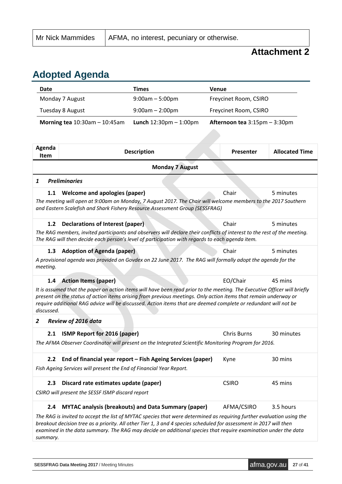## **Attachment 2**

# <span id="page-26-0"></span>**Adopted Agenda**

| Date                                                           |                                                                     | <b>Times</b>                                                                                                                                                                                                                                                                                                                                                    | Venue                         |                       |  |  |
|----------------------------------------------------------------|---------------------------------------------------------------------|-----------------------------------------------------------------------------------------------------------------------------------------------------------------------------------------------------------------------------------------------------------------------------------------------------------------------------------------------------------------|-------------------------------|-----------------------|--|--|
|                                                                | Monday 7 August                                                     | $9:00am - 5:00pm$                                                                                                                                                                                                                                                                                                                                               | Freycinet Room, CSIRO         |                       |  |  |
| Tuesday 8 August<br>$9:00am - 2:00pm$<br>Freycinet Room, CSIRO |                                                                     |                                                                                                                                                                                                                                                                                                                                                                 |                               |                       |  |  |
|                                                                | Morning tea $10:30$ am $-10:45$ am                                  | <b>Lunch</b> $12:30 \text{pm} - 1:00 \text{pm}$                                                                                                                                                                                                                                                                                                                 | Afternoon tea 3:15pm - 3:30pm |                       |  |  |
|                                                                |                                                                     |                                                                                                                                                                                                                                                                                                                                                                 |                               |                       |  |  |
| Agenda<br><b>Item</b>                                          |                                                                     | <b>Description</b>                                                                                                                                                                                                                                                                                                                                              | Presenter                     | <b>Allocated Time</b> |  |  |
|                                                                |                                                                     | <b>Monday 7 August</b>                                                                                                                                                                                                                                                                                                                                          |                               |                       |  |  |
| 1                                                              | <b>Preliminaries</b>                                                |                                                                                                                                                                                                                                                                                                                                                                 |                               |                       |  |  |
| 1.1                                                            | Welcome and apologies (paper)                                       |                                                                                                                                                                                                                                                                                                                                                                 | Chair                         | 5 minutes             |  |  |
|                                                                |                                                                     | The meeting will open at 9:00am on Monday, 7 August 2017. The Chair will welcome members to the 2017 Southern<br>and Eastern Scalefish and Shark Fishery Resource Assessment Group (SESSFRAG)                                                                                                                                                                   |                               |                       |  |  |
| 1.2                                                            | Declarations of Interest (paper)                                    |                                                                                                                                                                                                                                                                                                                                                                 | Chair                         | 5 minutes             |  |  |
|                                                                |                                                                     | The RAG members, invited participants and observers will declare their conflicts of interest to the rest of the meeting.<br>The RAG will then decide each person's level of participation with regards to each agenda item.                                                                                                                                     |                               |                       |  |  |
| 1.3                                                            | <b>Adoption of Agenda (paper)</b>                                   |                                                                                                                                                                                                                                                                                                                                                                 | Chair                         | 5 minutes             |  |  |
| meeting.                                                       |                                                                     | A provisional agenda was provided on Govdex on 22 June 2017. The RAG will formally adopt the agenda for the                                                                                                                                                                                                                                                     |                               |                       |  |  |
| 1.4                                                            | <b>Action Items (paper)</b>                                         |                                                                                                                                                                                                                                                                                                                                                                 | EO/Chair                      | 45 mins               |  |  |
| discussed.                                                     |                                                                     | It is assumed that the paper on action items will have been read prior to the meeting. The Executive Officer will briefly<br>present on the status of action items arising from previous meetings. Only action items that remain underway or<br>require additional RAG advice will be discussed. Action items that are deemed complete or redundant will not be |                               |                       |  |  |
| 2                                                              | Review of 2016 data                                                 |                                                                                                                                                                                                                                                                                                                                                                 |                               |                       |  |  |
| 2.1                                                            | <b>ISMP Report for 2016 (paper)</b>                                 |                                                                                                                                                                                                                                                                                                                                                                 | <b>Chris Burns</b>            | 30 minutes            |  |  |
|                                                                |                                                                     | The AFMA Observer Coordinator will present on the Integrated Scientific Monitoring Program for 2016.                                                                                                                                                                                                                                                            |                               |                       |  |  |
| 2.2                                                            |                                                                     | End of financial year report - Fish Ageing Services (paper)                                                                                                                                                                                                                                                                                                     | Kyne                          | 30 mins               |  |  |
|                                                                | Fish Ageing Services will present the End of Financial Year Report. |                                                                                                                                                                                                                                                                                                                                                                 |                               |                       |  |  |
| 2.3                                                            | Discard rate estimates update (paper)                               |                                                                                                                                                                                                                                                                                                                                                                 | <b>CSIRO</b>                  | 45 mins               |  |  |
|                                                                | CSIRO will present the SESSF ISMP discard report                    |                                                                                                                                                                                                                                                                                                                                                                 |                               |                       |  |  |
| 2.4                                                            |                                                                     | <b>MYTAC analysis (breakouts) and Data Summary (paper)</b>                                                                                                                                                                                                                                                                                                      | AFMA/CSIRO                    | 3.5 hours             |  |  |
|                                                                |                                                                     | The RAG is invited to accept the list of MYTAC species that were determined as requiring further evaluation using the<br>breakout decision tree as a priority. All other Tier 1, 3 and 4 species scheduled for assessment in 2017 will then<br>examined in the data summary. The RAG may decide on additional species that require examination under the data   |                               |                       |  |  |

*summary.*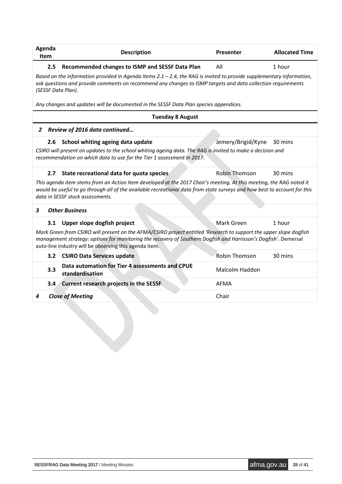| Agenda<br>Item | <b>Description</b>                                                                                                                                                                                                                                                                              | Presenter             | <b>Allocated Time</b> |  |  |  |  |  |  |
|----------------|-------------------------------------------------------------------------------------------------------------------------------------------------------------------------------------------------------------------------------------------------------------------------------------------------|-----------------------|-----------------------|--|--|--|--|--|--|
| 2.5            | Recommended changes to ISMP and SESSF Data Plan                                                                                                                                                                                                                                                 | All                   | 1 hour                |  |  |  |  |  |  |
|                | Based on the information provided in Agenda Items 2.1 - 2.4, the RAG is invited to provide supplementary information,<br>ask questions and provide comments on recommend any changes to ISMP targets and data collection requirements<br>(SESSF Data Plan).                                     |                       |                       |  |  |  |  |  |  |
|                | Any changes and updates will be documented in the SESSF Data Plan species appendices.                                                                                                                                                                                                           |                       |                       |  |  |  |  |  |  |
|                | <b>Tuesday 8 August</b>                                                                                                                                                                                                                                                                         |                       |                       |  |  |  |  |  |  |
| $\overline{2}$ | Review of 2016 data continued                                                                                                                                                                                                                                                                   |                       |                       |  |  |  |  |  |  |
| 2.6            | School whiting ageing data update                                                                                                                                                                                                                                                               | Jemery/Brigid/Kyne    | 30 mins               |  |  |  |  |  |  |
|                | CSIRO will present on updates to the school whiting ageing data. The RAG is invited to make a decision and<br>recommendation on which data to use for the Tier 1 assessment in 2017.                                                                                                            |                       |                       |  |  |  |  |  |  |
| 2.7            | State recreational data for quota species                                                                                                                                                                                                                                                       | <b>Robin Thomson</b>  | 30 mins               |  |  |  |  |  |  |
|                | This agenda item stems from an Action Item developed at the 2017 Chair's meeting. At this meeting, the RAG noted it<br>would be useful to go through all of the available recreational data from state surveys and how best to account for this<br>data in SESSF stock assessments.             |                       |                       |  |  |  |  |  |  |
| 3              | <b>Other Business</b>                                                                                                                                                                                                                                                                           |                       |                       |  |  |  |  |  |  |
| 3.1            | Upper slope dogfish project                                                                                                                                                                                                                                                                     | Mark Green            | 1 hour                |  |  |  |  |  |  |
|                | Mark Green from CSIRO will present on the AFMA/CSIRO project entitled 'Research to support the upper slope dogfish<br>management strategy: options for monitoring the recovery of Southern Dogfish and Harrisson's Dogfish'. Demersal<br>auto-line industry will be observing this agenda item. |                       |                       |  |  |  |  |  |  |
|                | 3.2 CSIRO Data Services update                                                                                                                                                                                                                                                                  | <b>Robin Thomson</b>  | 30 mins               |  |  |  |  |  |  |
| 3.3            | Data automation for Tier 4 assessments and CPUE<br>standardisation                                                                                                                                                                                                                              | <b>Malcolm Haddon</b> |                       |  |  |  |  |  |  |
| 3.4            | <b>Current research projects in the SESSF</b>                                                                                                                                                                                                                                                   | AFMA                  |                       |  |  |  |  |  |  |
| 4              | <b>Close of Meeting</b>                                                                                                                                                                                                                                                                         | Chair                 |                       |  |  |  |  |  |  |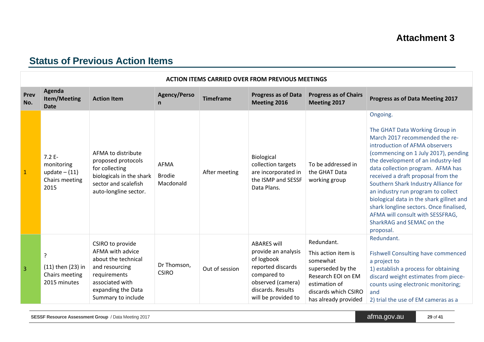## **Status of Previous Action Items**

|                | <b>ACTION ITEMS CARRIED OVER FROM PREVIOUS MEETINGS</b>             |                                                                                                                                                              |                                           |                  |                                                                                                                                                              |                                                                                                                                                           |                                                                                                                                                                                                                                                                                                                                                                                                                                                                                                                            |  |  |
|----------------|---------------------------------------------------------------------|--------------------------------------------------------------------------------------------------------------------------------------------------------------|-------------------------------------------|------------------|--------------------------------------------------------------------------------------------------------------------------------------------------------------|-----------------------------------------------------------------------------------------------------------------------------------------------------------|----------------------------------------------------------------------------------------------------------------------------------------------------------------------------------------------------------------------------------------------------------------------------------------------------------------------------------------------------------------------------------------------------------------------------------------------------------------------------------------------------------------------------|--|--|
| Prev<br>No.    | Agenda<br><b>Item/Meeting</b><br><b>Date</b>                        | <b>Action Item</b>                                                                                                                                           | <b>Agency/Perso</b><br>n                  | <b>Timeframe</b> | <b>Progress as of Data</b><br>Meeting 2016                                                                                                                   | <b>Progress as of Chairs</b><br>Meeting 2017                                                                                                              | Progress as of Data Meeting 2017                                                                                                                                                                                                                                                                                                                                                                                                                                                                                           |  |  |
| $\mathbf{1}$   | $7.2E -$<br>monitoring<br>update $- (11)$<br>Chairs meeting<br>2015 | AFMA to distribute<br>proposed protocols<br>for collecting<br>biologicals in the shark<br>sector and scalefish<br>auto-longline sector.                      | <b>AFMA</b><br><b>Brodie</b><br>Macdonald | After meeting    | Biological<br>collection targets<br>are incorporated in<br>the ISMP and SESSF<br>Data Plans.                                                                 | To be addressed in<br>the GHAT Data<br>working group                                                                                                      | Ongoing.<br>The GHAT Data Working Group in<br>March 2017 recommended the re-<br>introduction of AFMA observers<br>(commencing on 1 July 2017), pending<br>the development of an industry-led<br>data collection program. AFMA has<br>received a draft proposal from the<br>Southern Shark Industry Alliance for<br>an industry run program to collect<br>biological data in the shark gillnet and<br>shark longline sectors. Once finalised,<br>AFMA will consult with SESSFRAG,<br>SharkRAG and SEMAC on the<br>proposal. |  |  |
| $\overline{3}$ | ?<br>(11) then (23) in<br>Chairs meeting<br>2015 minutes            | CSIRO to provide<br>AFMA with advice<br>about the technical<br>and resourcing<br>requirements<br>associated with<br>expanding the Data<br>Summary to include | Dr Thomson,<br><b>CSIRO</b>               | Out of session   | <b>ABARES will</b><br>provide an analysis<br>of logbook<br>reported discards<br>compared to<br>observed (camera)<br>discards. Results<br>will be provided to | Redundant.<br>This action item is<br>somewhat<br>superseded by the<br>Research EOI on EM<br>estimation of<br>discards which CSIRO<br>has already provided | Redundant.<br><b>Fishwell Consulting have commenced</b><br>a project to<br>1) establish a process for obtaining<br>discard weight estimates from piece-<br>counts using electronic monitoring;<br>and<br>2) trial the use of EM cameras as a                                                                                                                                                                                                                                                                               |  |  |

<span id="page-28-0"></span>**SESSF Resource Assessment Group** / Data Meeting 2017 **and Secure 2018 afma.gov.au 29 of 41**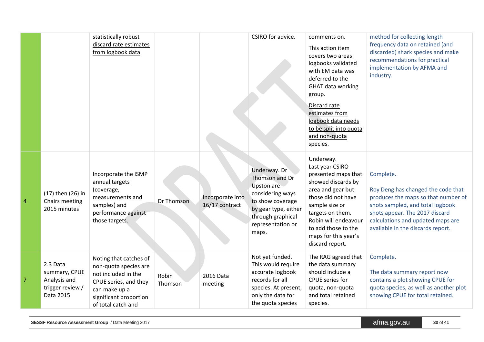|   |                                                                            | statistically robust<br>discard rate estimates<br>from logbook data                                                                                              |                  |                                    | CSIRO for advice.                                                                                                                                                      | comments on.<br>This action item<br>covers two areas:<br>logbooks validated<br>with EM data was<br>deferred to the<br>GHAT data working<br>group.<br>Discard rate<br>estimates from<br>logbook data needs<br>to be split into quota<br>and non-quota<br>species. | method for collecting length<br>frequency data on retained (and<br>discarded) shark species and make<br>recommendations for practical<br>implementation by AFMA and<br>industry.                                                       |
|---|----------------------------------------------------------------------------|------------------------------------------------------------------------------------------------------------------------------------------------------------------|------------------|------------------------------------|------------------------------------------------------------------------------------------------------------------------------------------------------------------------|------------------------------------------------------------------------------------------------------------------------------------------------------------------------------------------------------------------------------------------------------------------|----------------------------------------------------------------------------------------------------------------------------------------------------------------------------------------------------------------------------------------|
| 4 | (17) then (26) in<br>Chairs meeting<br>2015 minutes                        | Incorporate the ISMP<br>annual targets<br>(coverage,<br>measurements and<br>samples) and<br>performance against<br>those targets.                                | Dr Thomson       | Incorporate into<br>16/17 contract | Underway. Dr<br>Thomson and Dr<br><b>Upston are</b><br>considering ways<br>to show coverage<br>by gear type, either<br>through graphical<br>representation or<br>maps. | Underway.<br>Last year CSIRO<br>presented maps that<br>showed discards by<br>area and gear but<br>those did not have<br>sample size or<br>targets on them.<br>Robin will endeavour<br>to add those to the<br>maps for this year's<br>discard report.             | Complete.<br>Roy Deng has changed the code that<br>produces the maps so that number of<br>shots sampled, and total logbook<br>shots appear. The 2017 discard<br>calculations and updated maps are<br>available in the discards report. |
| 7 | 2.3 Data<br>summary, CPUE<br>Analysis and<br>trigger review /<br>Data 2015 | Noting that catches of<br>non-quota species are<br>not included in the<br>CPUE series, and they<br>can make up a<br>significant proportion<br>of total catch and | Robin<br>Thomson | 2016 Data<br>meeting               | Not yet funded.<br>This would require<br>accurate logbook<br>records for all<br>species. At present,<br>only the data for<br>the quota species                         | The RAG agreed that<br>the data summary<br>should include a<br>CPUE series for<br>quota, non-quota<br>and total retained<br>species.                                                                                                                             | Complete.<br>The data summary report now<br>contains a plot showing CPUE for<br>quota species, as well as another plot<br>showing CPUE for total retained.                                                                             |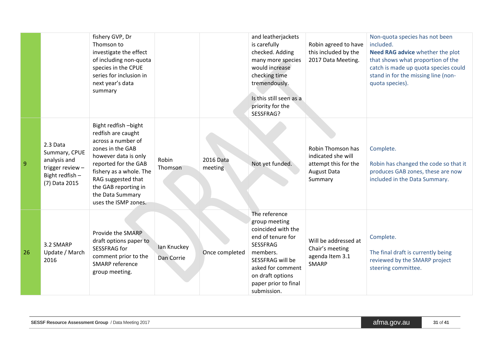|    |                                                                                                   | fishery GVP, Dr<br>Thomson to<br>investigate the effect<br>of including non-quota<br>species in the CPUE<br>series for inclusion in<br>next year's data<br>summary                                                                                       |                           |                      | and leatherjackets<br>is carefully<br>checked. Adding<br>many more species<br>would increase<br>checking time<br>tremendously.                                                                               | Robin agreed to have<br>this included by the<br>2017 Data Meeting.                               | Non-quota species has not been<br>included.<br>Need RAG advice whether the plot<br>that shows what proportion of the<br>catch is made up quota species could<br>stand in for the missing line (non-<br>quota species). |
|----|---------------------------------------------------------------------------------------------------|----------------------------------------------------------------------------------------------------------------------------------------------------------------------------------------------------------------------------------------------------------|---------------------------|----------------------|--------------------------------------------------------------------------------------------------------------------------------------------------------------------------------------------------------------|--------------------------------------------------------------------------------------------------|------------------------------------------------------------------------------------------------------------------------------------------------------------------------------------------------------------------------|
|    |                                                                                                   |                                                                                                                                                                                                                                                          |                           |                      | Is this still seen as a<br>priority for the<br>SESSFRAG?                                                                                                                                                     |                                                                                                  |                                                                                                                                                                                                                        |
| 9  | 2.3 Data<br>Summary, CPUE<br>analysis and<br>trigger review -<br>Bight redfish -<br>(7) Data 2015 | Bight redfish-bight<br>redfish are caught<br>across a number of<br>zones in the GAB<br>however data is only<br>reported for the GAB<br>fishery as a whole. The<br>RAG suggested that<br>the GAB reporting in<br>the Data Summary<br>uses the ISMP zones. | Robin<br>Thomson          | 2016 Data<br>meeting | Not yet funded.                                                                                                                                                                                              | Robin Thomson has<br>indicated she will<br>attempt this for the<br><b>August Data</b><br>Summary | Complete.<br>Robin has changed the code so that it<br>produces GAB zones, these are now<br>included in the Data Summary.                                                                                               |
| 26 | 3.2 SMARP<br>Update / March<br>2016                                                               | Provide the SMARP<br>draft options paper to<br>SESSFRAG for<br>comment prior to the<br><b>SMARP</b> reference<br>group meeting.                                                                                                                          | lan Knuckey<br>Dan Corrie | Once completed       | The reference<br>group meeting<br>coincided with the<br>end of tenure for<br><b>SESSFRAG</b><br>members.<br>SESSFRAG will be<br>asked for comment<br>on draft options<br>paper prior to final<br>submission. | Will be addressed at<br>Chair's meeting<br>agenda Item 3.1<br><b>SMARP</b>                       | Complete.<br>The final draft is currently being<br>reviewed by the SMARP project<br>steering committee.                                                                                                                |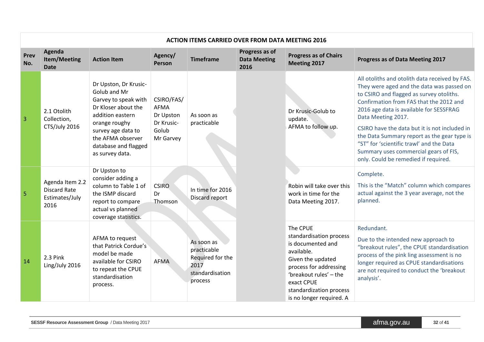|             | <b>ACTION ITEMS CARRIED OVER FROM DATA MEETING 2016</b>          |                                                                                                                                                                                                         |                               |                                                                                                                                                                                                                                                     |                                               |                                                                                                                                                                                                                      |                                                                                                                                                                                                                                                     |  |
|-------------|------------------------------------------------------------------|---------------------------------------------------------------------------------------------------------------------------------------------------------------------------------------------------------|-------------------------------|-----------------------------------------------------------------------------------------------------------------------------------------------------------------------------------------------------------------------------------------------------|-----------------------------------------------|----------------------------------------------------------------------------------------------------------------------------------------------------------------------------------------------------------------------|-----------------------------------------------------------------------------------------------------------------------------------------------------------------------------------------------------------------------------------------------------|--|
| Prev<br>No. | Agenda<br>Item/Meeting<br><b>Date</b>                            | <b>Action Item</b>                                                                                                                                                                                      | Agency/<br>Person             | <b>Timeframe</b>                                                                                                                                                                                                                                    | Progress as of<br><b>Data Meeting</b><br>2016 | <b>Progress as of Chairs</b><br>Meeting 2017                                                                                                                                                                         | Progress as of Data Meeting 2017                                                                                                                                                                                                                    |  |
| 3           | 2.1 Otolith<br>Collection,                                       | Dr Upston, Dr Krusic-<br>Golub and Mr<br>CSIRO/FAS/<br>Garvey to speak with<br>Dr Kloser about the<br>AFMA<br>addition eastern<br>Dr Upston<br>As soon as<br>orange roughy<br>Dr Krusic-<br>practicable | Dr Krusic-Golub to<br>update. | All otoliths and otolith data received by FAS.<br>They were aged and the data was passed on<br>to CSIRO and flagged as survey otoliths.<br>Confirmation from FAS that the 2012 and<br>2016 age data is available for SESSFRAG<br>Data Meeting 2017. |                                               |                                                                                                                                                                                                                      |                                                                                                                                                                                                                                                     |  |
|             | CTS/July 2016                                                    | survey age data to<br>the AFMA observer<br>database and flagged<br>as survey data.                                                                                                                      | Golub<br>Mr Garvey            |                                                                                                                                                                                                                                                     |                                               | AFMA to follow up.                                                                                                                                                                                                   | CSIRO have the data but it is not included in<br>the Data Summary report as the gear type is<br>"ST" for 'scientific trawl' and the Data<br>Summary uses commercial gears of FIS,<br>only. Could be remedied if required.                           |  |
| 5           | Agenda Item 2.2<br><b>Discard Rate</b><br>Estimates/July<br>2016 | Dr Upston to<br>consider adding a<br>column to Table 1 of<br>the ISMP discard<br>report to compare<br>actual vs planned<br>coverage statistics.                                                         | <b>CSIRO</b><br>Dr<br>Thomson | In time for 2016<br>Discard report                                                                                                                                                                                                                  |                                               | Robin will take over this<br>work in time for the<br>Data Meeting 2017.                                                                                                                                              | Complete.<br>This is the "Match" column which compares<br>actual against the 3 year average, not the<br>planned.                                                                                                                                    |  |
| 14          | 2.3 Pink<br>Ling/July 2016                                       | AFMA to request<br>that Patrick Cordue's<br>model be made<br>available for CSIRO<br>to repeat the CPUE<br>standardisation<br>process.                                                                   | <b>AFMA</b>                   | As soon as<br>practicable<br>Required for the<br>2017<br>standardisation<br>process                                                                                                                                                                 |                                               | The CPUE<br>standardisation process<br>is documented and<br>available.<br>Given the updated<br>process for addressing<br>'breakout rules' - the<br>exact CPUE<br>standardization process<br>is no longer required. A | Redundant.<br>Due to the intended new approach to<br>"breakout rules", the CPUE standardisation<br>process of the pink ling assessment is no<br>longer required as CPUE standardisations<br>are not required to conduct the 'breakout<br>analysis'. |  |

#### **SESSF Resource Assessment Group** / Data Meeting 2017 **and Secure 2017 and Secure 2017 afma.gov.au 32** of **41**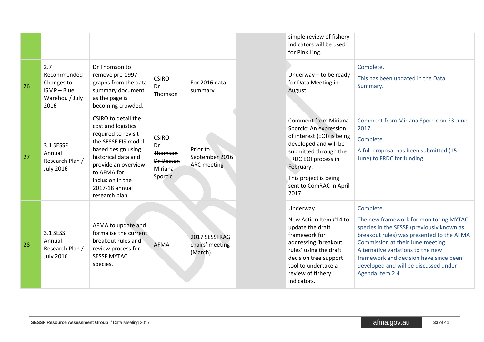|    |                                                                         |                                                                                                                                                                                                                                     |                                                                         |                                                  | simple review of fishery<br>indicators will be used<br>for Pink Ling.                                                                                                                                                                  |                                                                                                                                                                                                                                                                                                                               |
|----|-------------------------------------------------------------------------|-------------------------------------------------------------------------------------------------------------------------------------------------------------------------------------------------------------------------------------|-------------------------------------------------------------------------|--------------------------------------------------|----------------------------------------------------------------------------------------------------------------------------------------------------------------------------------------------------------------------------------------|-------------------------------------------------------------------------------------------------------------------------------------------------------------------------------------------------------------------------------------------------------------------------------------------------------------------------------|
| 26 | 2.7<br>Recommended<br>Changes to<br>ISMP-Blue<br>Warehou / July<br>2016 | Dr Thomson to<br>remove pre-1997<br>graphs from the data<br>summary document<br>as the page is<br>becoming crowded.                                                                                                                 | <b>CSIRO</b><br>Dr<br>Thomson                                           | For 2016 data<br>summary                         | Underway - to be ready<br>for Data Meeting in<br>August                                                                                                                                                                                | Complete.<br>This has been updated in the Data<br>Summary.                                                                                                                                                                                                                                                                    |
| 27 | 3.1 SESSF<br>Annual<br>Research Plan /<br><b>July 2016</b>              | CSIRO to detail the<br>cost and logistics<br>required to revisit<br>the SESSF FIS model-<br>based design using<br>historical data and<br>provide an overview<br>to AFMA for<br>inclusion in the<br>2017-18 annual<br>research plan. | <b>CSIRO</b><br>Dr<br>Thomson<br><b>Dr Upston</b><br>Miriana<br>Sporcic | Prior to<br>September 2016<br><b>ARC</b> meeting | <b>Comment from Miriana</b><br>Sporcic: An expression<br>of interest (EOI) is being<br>developed and will be<br>submitted through the<br>FRDC EOI process in<br>February.<br>This project is being<br>sent to ComRAC in April<br>2017. | Comment from Miriana Sporcic on 23 June<br>2017.<br>Complete.<br>A full proposal has been submitted (15<br>June) to FRDC for funding.                                                                                                                                                                                         |
| 28 | 3.1 SESSF<br>Annual<br>Research Plan /<br><b>July 2016</b>              | AFMA to update and<br>formalise the current<br>breakout rules and<br>review process for<br><b>SESSF MYTAC</b><br>species.                                                                                                           | <b>AFMA</b>                                                             | 2017 SESSFRAG<br>chairs' meeting<br>(March)      | Underway.<br>New Action Item #14 to<br>update the draft<br>framework for<br>addressing 'breakout<br>rules' using the draft<br>decision tree support<br>tool to undertake a<br>review of fishery<br>indicators.                         | Complete.<br>The new framework for monitoring MYTAC<br>species in the SESSF (previously known as<br>breakout rules) was presented to the AFMA<br>Commission at their June meeting.<br>Alternative variations to the new<br>framework and decision have since been<br>developed and will be discussed under<br>Agenda Item 2.4 |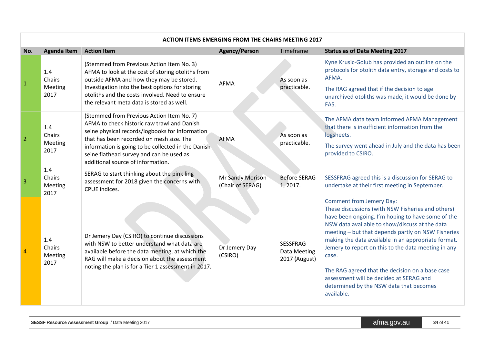|                | <b>ACTION ITEMS EMERGING FROM THE CHAIRS MEETING 2017</b> |                                                                                                                                                                                                                                                                                                                                |                                      |                                                  |                                                                                                                                                                                                                                                                                                                                                                                                                                                                                                                          |  |  |  |  |
|----------------|-----------------------------------------------------------|--------------------------------------------------------------------------------------------------------------------------------------------------------------------------------------------------------------------------------------------------------------------------------------------------------------------------------|--------------------------------------|--------------------------------------------------|--------------------------------------------------------------------------------------------------------------------------------------------------------------------------------------------------------------------------------------------------------------------------------------------------------------------------------------------------------------------------------------------------------------------------------------------------------------------------------------------------------------------------|--|--|--|--|
| No.            | <b>Agenda Item</b>                                        | <b>Action Item</b>                                                                                                                                                                                                                                                                                                             | <b>Agency/Person</b>                 | Timeframe                                        | <b>Status as of Data Meeting 2017</b>                                                                                                                                                                                                                                                                                                                                                                                                                                                                                    |  |  |  |  |
| $\mathbf{1}$   | 1.4<br>Chairs<br>Meeting<br>2017                          | (Stemmed from Previous Action Item No. 3)<br>AFMA to look at the cost of storing otoliths from<br>outside AFMA and how they may be stored.<br>Investigation into the best options for storing<br>otoliths and the costs involved. Need to ensure<br>the relevant meta data is stored as well.                                  | <b>AFMA</b>                          | As soon as<br>practicable.                       | Kyne Krusic-Golub has provided an outline on the<br>protocols for otolith data entry, storage and costs to<br>AFMA.<br>The RAG agreed that if the decision to age<br>unarchived otoliths was made, it would be done by<br>FAS.                                                                                                                                                                                                                                                                                           |  |  |  |  |
| $\overline{2}$ | 1.4<br>Chairs<br>Meeting<br>2017                          | (Stemmed from Previous Action Item No. 7)<br>AFMA to check historic raw trawl and Danish<br>seine physical records/logbooks for information<br>that has been recorded on mesh size. The<br>information is going to be collected in the Danish<br>seine flathead survey and can be used as<br>additional source of information. | <b>AFMA</b>                          | As soon as<br>practicable.                       | The AFMA data team informed AFMA Management<br>that there is insufficient information from the<br>logsheets.<br>The survey went ahead in July and the data has been<br>provided to CSIRO.                                                                                                                                                                                                                                                                                                                                |  |  |  |  |
| $\overline{3}$ | 1.4<br>Chairs<br>Meeting<br>2017                          | SERAG to start thinking about the pink ling<br>assessment for 2018 given the concerns with<br>CPUE indices.                                                                                                                                                                                                                    | Mr Sandy Morison<br>(Chair of SERAG) | <b>Before SERAG</b><br>1,2017.                   | SESSFRAG agreed this is a discussion for SERAG to<br>undertake at their first meeting in September.                                                                                                                                                                                                                                                                                                                                                                                                                      |  |  |  |  |
| $\overline{4}$ | 1.4<br>Chairs<br>Meeting<br>2017                          | Dr Jemery Day (CSIRO) to continue discussions<br>with NSW to better understand what data are<br>available before the data meeting, at which the<br>RAG will make a decision about the assessment<br>noting the plan is for a Tier 1 assessment in 2017.                                                                        | Dr Jemery Day<br>(CSIRO)             | <b>SESSFRAG</b><br>Data Meeting<br>2017 (August) | Comment from Jemery Day:<br>These discussions (with NSW Fisheries and others)<br>have been ongoing. I'm hoping to have some of the<br>NSW data available to show/discuss at the data<br>meeting - but that depends partly on NSW Fisheries<br>making the data available in an appropriate format.<br>Jemery to report on this to the data meeting in any<br>case.<br>The RAG agreed that the decision on a base case<br>assessment will be decided at SERAG and<br>determined by the NSW data that becomes<br>available. |  |  |  |  |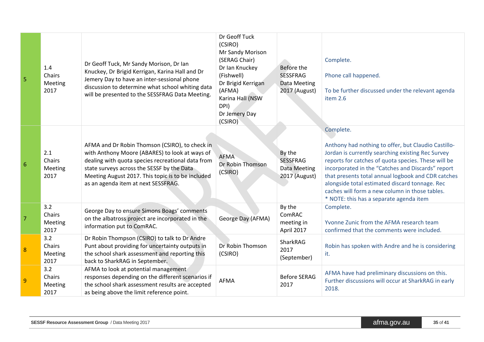| 5              | 1.4<br>Chairs<br>Meeting<br>2017 | Dr Geoff Tuck, Mr Sandy Morison, Dr Ian<br>Knuckey, Dr Brigid Kerrigan, Karina Hall and Dr<br>Jemery Day to have an inter-sessional phone<br>discussion to determine what school whiting data<br>will be presented to the SESSFRAG Data Meeting.                                                | Dr Geoff Tuck<br>(CSIRO)<br>Mr Sandy Morison<br>(SERAG Chair)<br>Dr Ian Knuckey<br>(Fishwell)<br>Dr Brigid Kerrigan<br>(AFMA)<br>Karina Hall (NSW<br>DPI)<br>Dr Jemery Day<br>(CSIRO) | Before the<br><b>SESSFRAG</b><br><b>Data Meeting</b><br>2017 (August) | Complete.<br>Phone call happened.<br>To be further discussed under the relevant agenda<br>item 2.6                                                                                                                                                                                                                                                                                                                                     |
|----------------|----------------------------------|-------------------------------------------------------------------------------------------------------------------------------------------------------------------------------------------------------------------------------------------------------------------------------------------------|---------------------------------------------------------------------------------------------------------------------------------------------------------------------------------------|-----------------------------------------------------------------------|----------------------------------------------------------------------------------------------------------------------------------------------------------------------------------------------------------------------------------------------------------------------------------------------------------------------------------------------------------------------------------------------------------------------------------------|
| 6              | 2.1<br>Chairs<br>Meeting<br>2017 | AFMA and Dr Robin Thomson (CSIRO), to check in<br>with Anthony Moore (ABARES) to look at ways of<br>dealing with quota species recreational data from<br>state surveys across the SESSF by the Data<br>Meeting August 2017. This topic is to be included<br>as an agenda item at next SESSFRAG. | <b>AFMA</b><br>Dr Robin Thomson<br>(CSIRO)                                                                                                                                            | By the<br><b>SESSFRAG</b><br>Data Meeting<br>2017 (August)            | Complete.<br>Anthony had nothing to offer, but Claudio Castillo-<br>Jordan is currently searching existing Rec Survey<br>reports for catches of quota species. These will be<br>incorporated in the "Catches and Discards" report<br>that presents total annual logbook and CDR catches<br>alongside total estimated discard tonnage. Rec<br>caches will form a new column in those tables.<br>* NOTE: this has a separate agenda item |
| $\overline{7}$ | 3.2<br>Chairs<br>Meeting<br>2017 | George Day to ensure Simons Boags' comments<br>on the albatross project are incorporated in the<br>information put to ComRAC.                                                                                                                                                                   | George Day (AFMA)                                                                                                                                                                     | By the<br>ComRAC<br>meeting in<br>April 2017                          | Complete.<br>Yvonne Zunic from the AFMA research team<br>confirmed that the comments were included.                                                                                                                                                                                                                                                                                                                                    |
| 8              | 3.2<br>Chairs<br>Meeting<br>2017 | Dr Robin Thompson (CSIRO) to talk to Dr Andre<br>Punt about providing for uncertainty outputs in<br>the school shark assessment and reporting this<br>back to SharkRAG in September.                                                                                                            | Dr Robin Thomson<br>(CSIRO)                                                                                                                                                           | SharkRAG<br>2017<br>(September)                                       | Robin has spoken with Andre and he is considering<br>it.                                                                                                                                                                                                                                                                                                                                                                               |
| 9              | 3.2<br>Chairs<br>Meeting<br>2017 | AFMA to look at potential management<br>responses depending on the different scenarios if<br>the school shark assessment results are accepted<br>as being above the limit reference point.                                                                                                      | AFMA                                                                                                                                                                                  | <b>Before SERAG</b><br>2017                                           | AFMA have had preliminary discussions on this.<br>Further discussions will occur at SharkRAG in early<br>2018.                                                                                                                                                                                                                                                                                                                         |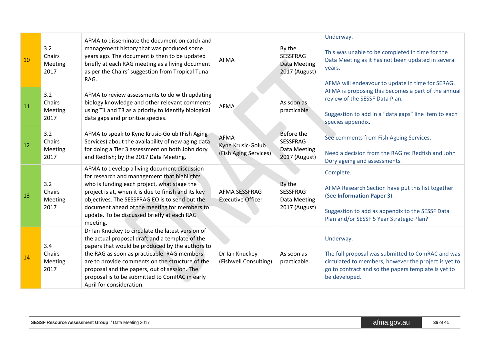| 10 | 3.2<br>Chairs<br>Meeting<br>2017 | AFMA to disseminate the document on catch and<br>management history that was produced some<br>years ago. The document is then to be updated<br>briefly at each RAG meeting as a living document<br>as per the Chairs' suggestion from Tropical Tuna<br>RAG.                                                                                                                             | <b>AFMA</b>                                        | By the<br><b>SESSFRAG</b><br>Data Meeting<br>2017 (August)            | Underway.<br>This was unable to be completed in time for the<br>Data Meeting as it has not been updated in several<br>years.<br>AFMA will endeavour to update in time for SERAG.               |
|----|----------------------------------|-----------------------------------------------------------------------------------------------------------------------------------------------------------------------------------------------------------------------------------------------------------------------------------------------------------------------------------------------------------------------------------------|----------------------------------------------------|-----------------------------------------------------------------------|------------------------------------------------------------------------------------------------------------------------------------------------------------------------------------------------|
| 11 | 3.2<br>Chairs<br>Meeting<br>2017 | AFMA to review assessments to do with updating<br>biology knowledge and other relevant comments<br>using T1 and T3 as a priority to identify biological<br>data gaps and prioritise species.                                                                                                                                                                                            | <b>AFMA</b>                                        | As soon as<br>practicable                                             | AFMA is proposing this becomes a part of the annual<br>review of the SESSF Data Plan.<br>Suggestion to add in a "data gaps" line item to each<br>species appendix.                             |
| 12 | 3.2<br>Chairs<br>Meeting<br>2017 | AFMA to speak to Kyne Krusic-Golub (Fish Aging<br>Services) about the availability of new aging data<br>for doing a Tier 3 assessment on both John dory<br>and Redfish; by the 2017 Data Meeting.                                                                                                                                                                                       | AFMA<br>Kyne Krusic-Golub<br>(Fish Aging Services) | Before the<br><b>SESSFRAG</b><br><b>Data Meeting</b><br>2017 (August) | See comments from Fish Ageing Services.<br>Need a decision from the RAG re: Redfish and John<br>Dory ageing and assessments.                                                                   |
| 13 | 3.2<br>Chairs<br>Meeting<br>2017 | AFMA to develop a living document discussion<br>for research and management that highlights<br>who is funding each project, what stage the<br>project is at, when it is due to finish and its key<br>objectives. The SESSFRAG EO is to send out the<br>document ahead of the meeting for members to<br>update. To be discussed briefly at each RAG<br>meeting.                          | AFMA SESSFRAG<br><b>Executive Officer</b>          | By the<br><b>SESSFRAG</b><br>Data Meeting<br>2017 (August)            | Complete.<br>AFMA Research Section have put this list together<br>(See Information Paper 3).<br>Suggestion to add as appendix to the SESSF Data<br>Plan and/or SESSF 5 Year Strategic Plan?    |
| 14 | 3.4<br>Chairs<br>Meeting<br>2017 | Dr Ian Knuckey to circulate the latest version of<br>the actual proposal draft and a template of the<br>papers that would be produced by the authors to<br>the RAG as soon as practicable. RAG members<br>are to provide comments on the structure of the<br>proposal and the papers, out of session. The<br>proposal is to be submitted to ComRAC in early<br>April for consideration. | Dr Ian Knuckey<br>(Fishwell Consulting)            | As soon as<br>practicable                                             | Underway.<br>The full proposal was submitted to ComRAC and was<br>circulated to members, however the project is yet to<br>go to contract and so the papers template is yet to<br>be developed. |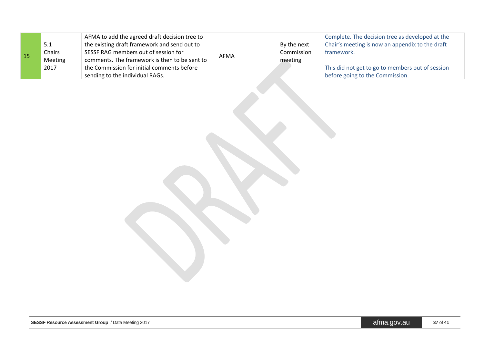| 15 | 5.1<br>Chairs<br>Meeting | AFMA to add the agreed draft decision tree to<br>the existing draft framework and send out to<br>SESSF RAG members out of session for<br>comments. The framework is then to be sent to | AFMA | By the next<br>Commission<br>meeting | Complete. The decision tree as developed at the<br>Chair's meeting is now an appendix to the draft<br>framework. |
|----|--------------------------|----------------------------------------------------------------------------------------------------------------------------------------------------------------------------------------|------|--------------------------------------|------------------------------------------------------------------------------------------------------------------|
|    | 2017                     | the Commission for initial comments before<br>sending to the individual RAGs.                                                                                                          |      |                                      | This did not get to go to members out of session<br>before going to the Commission.                              |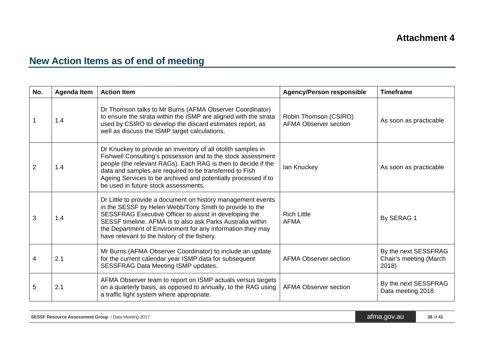# **New Action Items as of end of meeting**

<span id="page-37-0"></span>

| No. | <b>Agenda Item</b> | <b>Action Item</b>                                                                                                                                                                                                                                                                                                                                                 | <b>Agency/Person responsible</b>                      | <b>Timeframe</b>                                        |
|-----|--------------------|--------------------------------------------------------------------------------------------------------------------------------------------------------------------------------------------------------------------------------------------------------------------------------------------------------------------------------------------------------------------|-------------------------------------------------------|---------------------------------------------------------|
|     | 1.4                | Dr Thomson talks to Mr Burns (AFMA Observer Coordinator)<br>to ensure the strata within the ISMP are aligned with the strata<br>used by CSIRO to develop the discard estimates report, as<br>well as discuss the ISMP target calculations.                                                                                                                         | Robin Thomson (CSIRO)<br><b>AFMA Observer section</b> | As soon as practicable                                  |
| 2   | 1.4                | Dr Knuckey to provide an inventory of all otolith samples in<br>Fishwell Consulting's possession and to the stock assessment<br>people (the relevant RAGs). Each RAG is then to decide if the<br>data and samples are required to be transferred to Fish<br>Ageing Services to be archived and potentially processed if to<br>be used in future stock assessments. | lan Knuckey                                           | As soon as practicable                                  |
| 3   | 1.4                | Dr Little to provide a document on history management events<br>in the SESSF by Helen Webb/Tony Smith to provide to the<br>SESSFRAG Executive Officer to assist in developing the<br>SESSF timeline. AFMA is to also ask Parks Australia within<br>the Department of Environment for any information they may<br>have relevant to the history of the fishery.      | <b>Rich Little</b><br><b>AFMA</b>                     | By SERAG 1                                              |
|     | 2.1                | Mr Burns (AFMA Observer Coordinator) to include an update<br>for the current calendar year ISMP data for subsequent<br><b>SESSFRAG Data Meeting ISMP updates.</b>                                                                                                                                                                                                  | <b>AFMA Observer section</b>                          | By the next SESSFRAG<br>Chair's meeting (March<br>2018) |
| 5   | 2.1                | AFMA Observer team to report on ISMP actuals versus targets<br>on a quarterly basis, as opposed to annually, to the RAG using<br>a traffic light system where appropriate.                                                                                                                                                                                         | <b>AFMA Observer section</b>                          | By the next SESSFRAG<br>Data meeting 2018               |

| <b>SESSF Resource Assessment Group</b> / Data Meeting 2017 | afma.gov.au | 38 of 4 |
|------------------------------------------------------------|-------------|---------|
|------------------------------------------------------------|-------------|---------|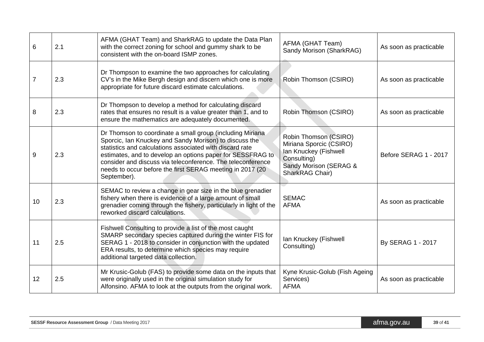| 6               | 2.1 | AFMA (GHAT Team) and SharkRAG to update the Data Plan<br>with the correct zoning for school and gummy shark to be<br>consistent with the on-board ISMP zones.                                                                                                                                                                                                                             | AFMA (GHAT Team)<br>Sandy Morison (SharkRAG)                                                                                          | As soon as practicable |
|-----------------|-----|-------------------------------------------------------------------------------------------------------------------------------------------------------------------------------------------------------------------------------------------------------------------------------------------------------------------------------------------------------------------------------------------|---------------------------------------------------------------------------------------------------------------------------------------|------------------------|
|                 | 2.3 | Dr Thompson to examine the two approaches for calculating<br>CV's in the Mike Bergh design and discern which one is more<br>appropriate for future discard estimate calculations.                                                                                                                                                                                                         | Robin Thomson (CSIRO)                                                                                                                 | As soon as practicable |
| 8               | 2.3 | Dr Thompson to develop a method for calculating discard<br>rates that ensures no result is a value greater than 1, and to<br>ensure the mathematics are adequately documented.                                                                                                                                                                                                            | Robin Thomson (CSIRO)                                                                                                                 | As soon as practicable |
| 9               | 2.3 | Dr Thomson to coordinate a small group (including Miriana<br>Sporcic, Ian Knuckey and Sandy Morison) to discuss the<br>statistics and calculations associated with discard rate<br>estimates, and to develop an options paper for SESSFRAG to<br>consider and discuss via teleconference. The teleconference<br>needs to occur before the first SERAG meeting in 2017 (20)<br>September). | Robin Thomson (CSIRO)<br>Miriana Sporcic (CSIRO)<br>Ian Knuckey (Fishwell<br>Consulting)<br>Sandy Morison (SERAG &<br>SharkRAG Chair) | Before SERAG 1 - 2017  |
| 10 <sup>1</sup> | 2.3 | SEMAC to review a change in gear size in the blue grenadier<br>fishery when there is evidence of a large amount of small<br>grenadier coming through the fishery, particularly in light of the<br>reworked discard calculations.                                                                                                                                                          | <b>SEMAC</b><br><b>AFMA</b>                                                                                                           | As soon as practicable |
| 11              | 2.5 | Fishwell Consulting to provide a list of the most caught<br>SMARP secondary species captured during the winter FIS for<br>SERAG 1 - 2018 to consider in conjunction with the updated<br>ERA results, to determine which species may require<br>additional targeted data collection.                                                                                                       | Ian Knuckey (Fishwell<br>Consulting)                                                                                                  | By SERAG 1 - 2017      |
| 12              | 2.5 | Mr Krusic-Golub (FAS) to provide some data on the inputs that<br>were originally used in the original simulation study for<br>Alfonsino. AFMA to look at the outputs from the original work.                                                                                                                                                                                              | Kyne Krusic-Golub (Fish Ageing<br>Services)<br><b>AFMA</b>                                                                            | As soon as practicable |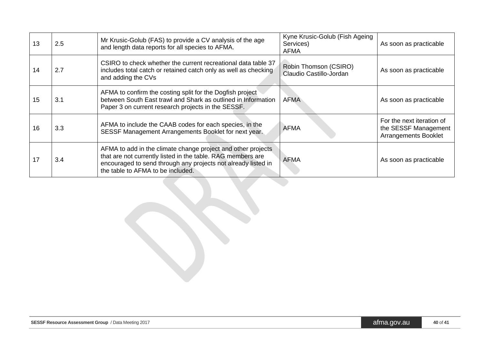| 13 | 2.5 | Mr Krusic-Golub (FAS) to provide a CV analysis of the age<br>and length data reports for all species to AFMA.                                                                                                                     | Kyne Krusic-Golub (Fish Ageing<br>Services)<br><b>AFMA</b> | As soon as practicable                                                           |
|----|-----|-----------------------------------------------------------------------------------------------------------------------------------------------------------------------------------------------------------------------------------|------------------------------------------------------------|----------------------------------------------------------------------------------|
| 14 | 2.7 | CSIRO to check whether the current recreational data table 37<br>includes total catch or retained catch only as well as checking<br>and adding the CVs                                                                            | Robin Thomson (CSIRO)<br>Claudio Castillo-Jordan           | As soon as practicable                                                           |
| 15 | 3.1 | AFMA to confirm the costing split for the Dogfish project<br>between South East trawl and Shark as outlined in Information<br>Paper 3 on current research projects in the SESSF.                                                  | <b>AFMA</b>                                                | As soon as practicable                                                           |
| 16 | 3.3 | AFMA to include the CAAB codes for each species, in the<br>SESSF Management Arrangements Booklet for next year.                                                                                                                   | <b>AFMA</b>                                                | For the next iteration of<br>the SESSF Management<br><b>Arrangements Booklet</b> |
| 17 | 3.4 | AFMA to add in the climate change project and other projects<br>that are not currently listed in the table. RAG members are<br>encouraged to send through any projects not already listed in<br>the table to AFMA to be included. | AFMA                                                       | As soon as practicable                                                           |